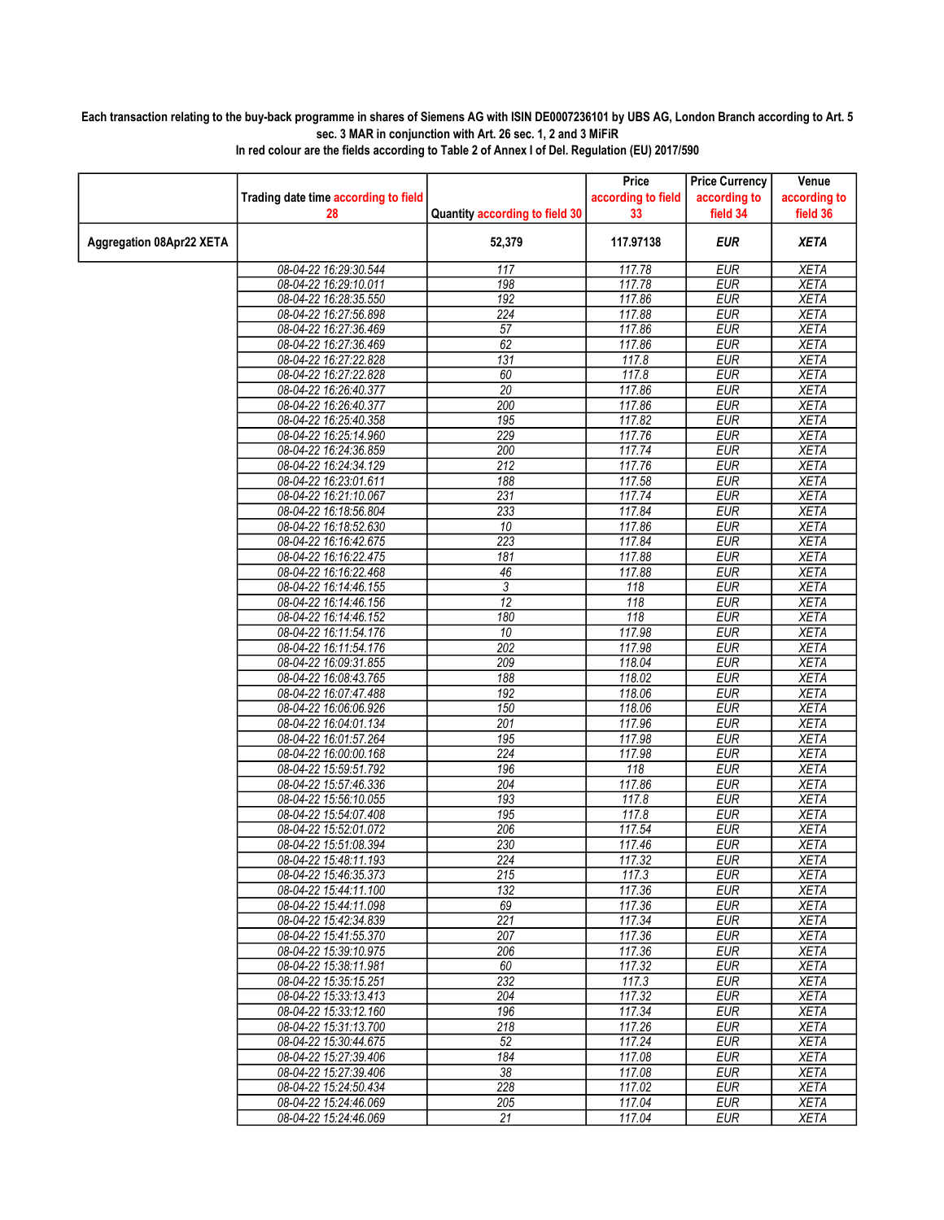## Each transaction relating to the buy-back programme in shares of Siemens AG with ISIN DE0007236101 by UBS AG, London Branch according to Art. 5 sec. 3 MAR in conjunction with Art. 26 sec. 1, 2 and 3 MiFiR

|                          |                                      |                                | Price              | <b>Price Currency</b> | Venue        |
|--------------------------|--------------------------------------|--------------------------------|--------------------|-----------------------|--------------|
|                          | Trading date time according to field |                                | according to field | according to          | according to |
|                          | 28                                   | Quantity according to field 30 | 33                 | field 34              | field 36     |
|                          |                                      |                                |                    |                       |              |
| Aggregation 08Apr22 XETA |                                      | 52,379                         | 117.97138          | <b>EUR</b>            | <b>XETA</b>  |
|                          |                                      |                                |                    |                       |              |
|                          | 08-04-22 16:29:30.544                | 117                            | 117.78             | <b>EUR</b>            | <b>XETA</b>  |
|                          | 08-04-22 16:29:10.011                | 198                            | 117.78             | <b>EUR</b>            | <b>XETA</b>  |
|                          | 08-04-22 16:28:35.550                | 192                            | 117.86             | <b>EUR</b>            | <b>XETA</b>  |
|                          | 08-04-22 16:27:56.898                | 224                            | 117.88             | <b>EUR</b>            | <b>XETA</b>  |
|                          | 08-04-22 16:27:36.469                | 57                             | 117.86             | <b>EUR</b>            | <b>XETA</b>  |
|                          | 08-04-22 16:27:36.469                | 62                             | 117.86             | <b>EUR</b>            | <b>XETA</b>  |
|                          | 08-04-22 16:27:22.828                | $\overline{131}$               | 117.8              | <b>EUR</b>            | <b>XETA</b>  |
|                          | 08-04-22 16:27:22.828                | 60                             | 117.8              | <b>EUR</b>            | <b>XETA</b>  |
|                          | 08-04-22 16:26:40.377                | $\overline{20}$                | 117.86             | <b>EUR</b>            | <b>XETA</b>  |
|                          | 08-04-22 16:26:40.377                | 200                            | 117.86             | <b>EUR</b>            | <b>XETA</b>  |
|                          | 08-04-22 16:25:40.358                | 195                            | 117.82             | <b>EUR</b>            | <b>XETA</b>  |
|                          | 08-04-22 16:25:14.960                | 229                            | 117.76             | <b>EUR</b>            | <b>XETA</b>  |
|                          | 08-04-22 16:24:36.859                | 200                            | 117.74             | <b>EUR</b>            | <b>XETA</b>  |
|                          | 08-04-22 16:24:34.129                | 212                            | 117.76             | <b>EUR</b>            | <b>XETA</b>  |
|                          | 08-04-22 16:23:01.611                | 188                            | 117.58             | <b>EUR</b>            | <b>XETA</b>  |
|                          | 08-04-22 16:21:10.067                | 231                            | 117.74             | <b>EUR</b>            | <b>XETA</b>  |
|                          | 08-04-22 16:18:56.804                | 233                            | 117.84             | <b>EUR</b>            | <b>XETA</b>  |
|                          | 08-04-22 16:18:52.630                | 10                             | 117.86             | <b>EUR</b>            | <b>XETA</b>  |
|                          | 08-04-22 16:16:42.675                | 223                            | 117.84             | <b>EUR</b>            | <b>XETA</b>  |
|                          | 08-04-22 16:16:22.475                | 181                            | 117.88             | <b>EUR</b>            | <b>XETA</b>  |
|                          | 08-04-22 16:16:22.468                | 46                             | 117.88             | <b>EUR</b>            | <b>XETA</b>  |
|                          | 08-04-22 16:14:46.155                | $\overline{3}$                 | 118                | <b>EUR</b>            | <b>XETA</b>  |
|                          | 08-04-22 16:14:46.156                | $\overline{12}$                | 118                | <b>EUR</b>            | <b>XETA</b>  |
|                          | 08-04-22 16:14:46.152                | 180                            | 118                | <b>EUR</b>            | <b>XETA</b>  |
|                          | 08-04-22 16:11:54.176                | $\overline{10}$                | 117.98             | <b>EUR</b>            | <b>XETA</b>  |
|                          | 08-04-22 16:11:54.176                | 202                            | 117.98             | <b>EUR</b>            | <b>XETA</b>  |
|                          | 08-04-22 16:09:31.855                | 209                            | 118.04             | <b>EUR</b>            | <b>XETA</b>  |
|                          | 08-04-22 16:08:43.765                | 188                            | 118.02             | <b>EUR</b>            | <b>XETA</b>  |
|                          | 08-04-22 16:07:47.488                | 192                            | 118.06             | <b>EUR</b>            | <b>XETA</b>  |
|                          | 08-04-22 16:06:06.926                | 150                            | 118.06             | <b>EUR</b>            | <b>XETA</b>  |
|                          | 08-04-22 16:04:01.134                | 201                            | 117.96             | <b>EUR</b>            | <b>XETA</b>  |
|                          | 08-04-22 16:01:57.264                | 195                            | 117.98             | <b>EUR</b>            | <b>XETA</b>  |
|                          | 08-04-22 16:00:00.168                | 224                            | 117.98             | <b>EUR</b>            | <b>XETA</b>  |
|                          | 08-04-22 15:59:51.792                | 196                            | 118                | <b>EUR</b>            | <b>XETA</b>  |
|                          | 08-04-22 15:57:46.336                | 204                            | 117.86             | <b>EUR</b>            | <b>XETA</b>  |
|                          | 08-04-22 15:56:10.055                | 193                            | 117.8              | <b>EUR</b>            | <b>XETA</b>  |
|                          | 08-04-22 15:54:07.408                | 195                            | 117.8              | <b>EUR</b>            | <b>XETA</b>  |
|                          | 08-04-22 15:52:01.072                | 206                            | 117.54             | <b>EUR</b>            | <b>XETA</b>  |
|                          | 08-04-22 15:51:08.394                | 230                            | 117.46             | <b>EUR</b>            | <b>XETA</b>  |
|                          | 08-04-22 15:48:11.193                | 224                            | 117.32             | <b>EUR</b>            | <b>XETA</b>  |
|                          | 08-04-22 15:46:35.373                | 215                            | 117.3              | <b>EUR</b>            | <b>XETA</b>  |
|                          | 08-04-22 15:44:11.100                | 132                            | 117.36             | <b>EUR</b>            | <b>XETA</b>  |
|                          | 08-04-22 15:44:11.098                | 69                             | 117.36             | <b>EUR</b>            | XETA         |
|                          | 08-04-22 15:42:34.839                | $\overline{221}$               | 117.34             | <b>EUR</b>            | <b>XETA</b>  |
|                          | 08-04-22 15:41:55.370                | 207                            | 117.36             | <b>EUR</b>            | <b>XETA</b>  |
|                          | 08-04-22 15:39:10.975                | 206                            | 117.36             | <b>EUR</b>            | <b>XETA</b>  |
|                          | 08-04-22 15:38:11.981                | 60                             | 117.32             | <b>EUR</b>            | <b>XETA</b>  |
|                          | 08-04-22 15:35:15.251                | 232                            | 117.3              | <b>EUR</b>            | <b>XETA</b>  |
|                          | 08-04-22 15:33:13.413                | 204                            | 117.32             | <b>EUR</b>            | <b>XETA</b>  |
|                          | 08-04-22 15:33:12.160                | 196                            | 117.34             | <b>EUR</b>            | <b>XETA</b>  |
|                          | 08-04-22 15:31:13.700                | 218                            | 117.26             | <b>EUR</b>            | <b>XETA</b>  |
|                          | 08-04-22 15:30:44.675                | 52                             | 117.24             | <b>EUR</b>            | <b>XETA</b>  |
|                          | 08-04-22 15:27:39.406                | 184                            | 117.08             | <b>EUR</b>            | <b>XETA</b>  |
|                          | 08-04-22 15:27:39.406                | 38                             | 117.08             | <b>EUR</b>            | XETA         |
|                          | 08-04-22 15:24:50.434                | 228                            | 117.02             | <b>EUR</b>            | <b>XETA</b>  |
|                          | 08-04-22 15:24:46.069                | 205                            | 117.04             | <b>EUR</b>            | <b>XETA</b>  |
|                          | 08-04-22 15:24:46.069                | 21                             | 117.04             | <b>EUR</b>            | XETA         |
|                          |                                      |                                |                    |                       |              |

In red colour are the fields according to Table 2 of Annex I of Del. Regulation (EU) 2017/590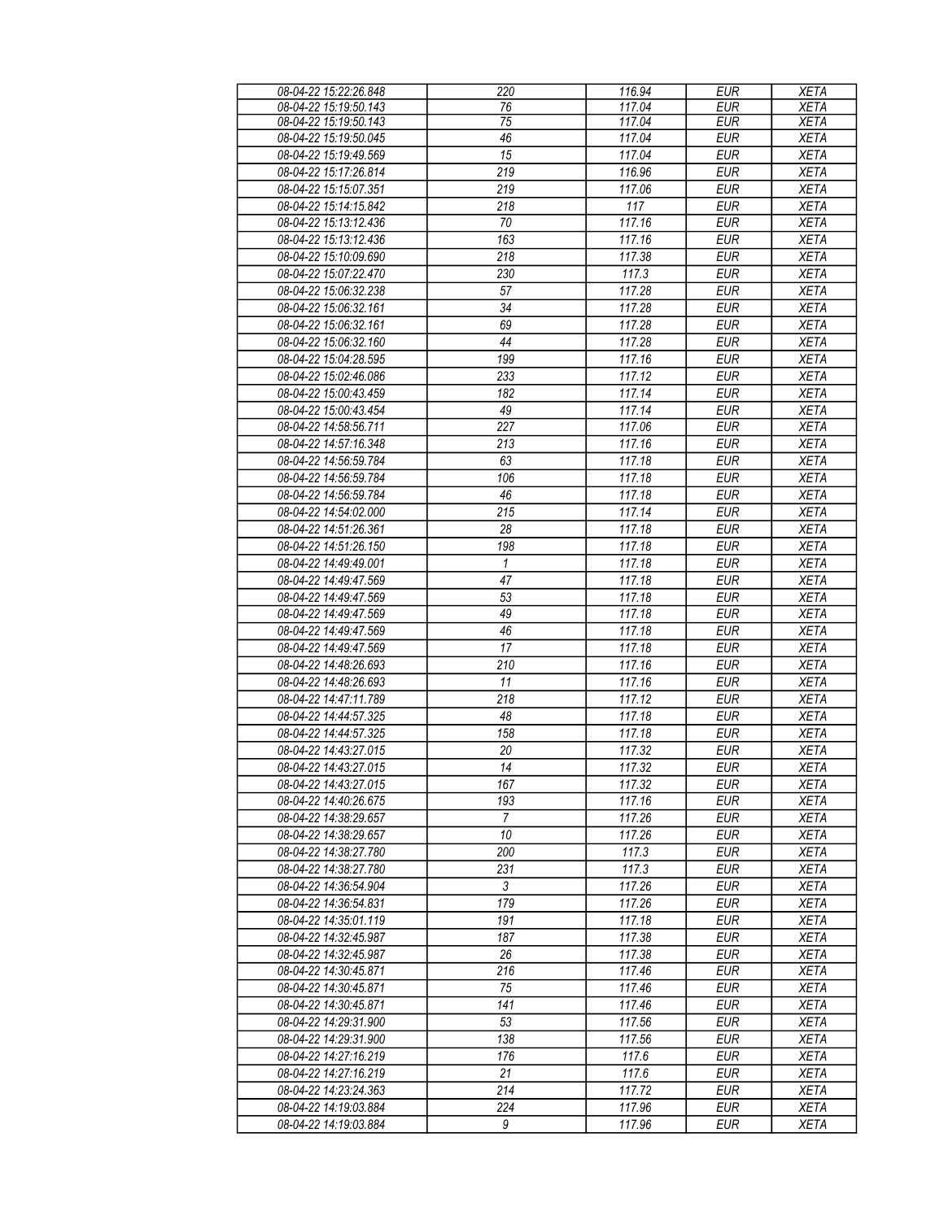| 08-04-22 15:22:26.848 | 220             | 116.94 | <b>EUR</b> | <b>XETA</b> |
|-----------------------|-----------------|--------|------------|-------------|
| 08-04-22 15:19:50.143 | 76              | 117.04 | <b>EUR</b> | <b>XETA</b> |
| 08-04-22 15:19:50.143 | 75              | 117.04 | <b>EUR</b> | <b>XETA</b> |
| 08-04-22 15:19:50.045 | 46              | 117.04 | <b>EUR</b> | <b>XETA</b> |
|                       | $\overline{15}$ | 117.04 | <b>EUR</b> |             |
| 08-04-22 15:19:49.569 |                 |        |            | <b>XETA</b> |
| 08-04-22 15:17:26.814 | 219             | 116.96 | <b>EUR</b> | <b>XETA</b> |
| 08-04-22 15:15:07.351 | 219             | 117.06 | <b>EUR</b> | <b>XETA</b> |
| 08-04-22 15:14:15.842 | 218             | 117    | <b>EUR</b> | <b>XETA</b> |
| 08-04-22 15:13:12.436 | 70              | 117.16 | <b>EUR</b> | <b>XETA</b> |
| 08-04-22 15:13:12.436 | 163             | 117.16 | <b>EUR</b> | <b>XETA</b> |
| 08-04-22 15:10:09.690 | 218             | 117.38 | <b>EUR</b> | <b>XETA</b> |
|                       |                 |        |            |             |
| 08-04-22 15:07:22.470 | 230             | 117.3  | <b>EUR</b> | <b>XETA</b> |
| 08-04-22 15:06:32.238 | 57              | 117.28 | <b>EUR</b> | <b>XETA</b> |
| 08-04-22 15:06:32.161 | 34              | 117.28 | <b>EUR</b> | <b>XETA</b> |
| 08-04-22 15:06:32.161 | 69              | 117.28 | <b>EUR</b> | <b>XETA</b> |
| 08-04-22 15:06:32.160 | 44              | 117.28 | <b>EUR</b> | <b>XETA</b> |
| 08-04-22 15:04:28.595 | 199             | 117.16 | <b>EUR</b> | <b>XETA</b> |
| 08-04-22 15:02:46.086 | 233             | 117.12 | <b>EUR</b> | <b>XETA</b> |
|                       |                 |        |            |             |
| 08-04-22 15:00:43.459 | 182             | 117.14 | <b>EUR</b> | <b>XETA</b> |
| 08-04-22 15:00:43.454 | 49              | 117.14 | <b>EUR</b> | <b>XETA</b> |
| 08-04-22 14:58:56.711 | 227             | 117.06 | <b>EUR</b> | <b>XETA</b> |
| 08-04-22 14:57:16.348 | 213             | 117.16 | <b>EUR</b> | <b>XETA</b> |
| 08-04-22 14:56:59.784 | 63              | 117.18 | <b>EUR</b> | <b>XETA</b> |
| 08-04-22 14:56:59.784 | 106             | 117.18 | <b>EUR</b> | <b>XETA</b> |
| 08-04-22 14:56:59.784 | $\overline{46}$ | 117.18 | <b>EUR</b> | <b>XETA</b> |
|                       |                 |        |            |             |
| 08-04-22 14:54:02.000 | 215             | 117.14 | <b>EUR</b> | <b>XETA</b> |
| 08-04-22 14:51:26.361 | 28              | 117.18 | <b>EUR</b> | <b>XETA</b> |
| 08-04-22 14:51:26.150 | 198             | 117.18 | <b>EUR</b> | <b>XETA</b> |
| 08-04-22 14:49:49.001 | 1               | 117.18 | <b>EUR</b> | <b>XETA</b> |
| 08-04-22 14:49:47.569 | 47              | 117.18 | <b>EUR</b> | <b>XETA</b> |
| 08-04-22 14:49:47.569 | 53              | 117.18 | <b>EUR</b> | <b>XETA</b> |
| 08-04-22 14:49:47.569 | 49              | 117.18 | <b>EUR</b> | <b>XETA</b> |
|                       |                 | 117.18 |            |             |
| 08-04-22 14:49:47.569 | 46              |        | <b>EUR</b> | <b>XETA</b> |
| 08-04-22 14:49:47.569 | 17              | 117.18 | <b>EUR</b> | <b>XETA</b> |
| 08-04-22 14:48:26.693 | 210             | 117.16 | <b>EUR</b> | <b>XETA</b> |
| 08-04-22 14:48:26.693 | 11              | 117.16 | <b>EUR</b> | <b>XETA</b> |
| 08-04-22 14:47:11.789 | 218             | 117.12 | <b>EUR</b> | <b>XETA</b> |
| 08-04-22 14:44:57.325 | 48              | 117.18 | <b>EUR</b> | <b>XETA</b> |
| 08-04-22 14:44:57.325 | 158             | 117.18 | <b>EUR</b> | <b>XETA</b> |
| 08-04-22 14:43:27.015 | 20              | 117.32 | <b>EUR</b> | <b>XETA</b> |
| 08-04-22 14:43:27.015 | 14              | 117.32 | <b>EUR</b> | <b>XETA</b> |
|                       |                 |        |            |             |
| 08-04-22 14:43:27.015 | 167             | 117.32 | <b>EUR</b> | <b>XETA</b> |
| 08-04-22 14:40:26.675 | 193             | 117.16 | <b>EUR</b> | <b>XETA</b> |
| 08-04-22 14:38:29.657 | $\overline{7}$  | 117.26 | <b>EUR</b> | <b>XETA</b> |
| 08-04-22 14:38:29.657 | 10              | 117.26 | <b>EUR</b> | <b>XETA</b> |
| 08-04-22 14:38:27.780 | 200             | 117.3  | <b>EUR</b> | <b>XETA</b> |
| 08-04-22 14:38:27.780 | 231             | 117.3  | <b>EUR</b> | <b>XETA</b> |
| 08-04-22 14:36:54.904 | 3               | 117.26 | <b>EUR</b> | <b>XETA</b> |
| 08-04-22 14:36:54.831 | 179             | 117.26 | <b>EUR</b> | <b>XETA</b> |
|                       |                 |        |            |             |
| 08-04-22 14:35:01.119 | 191             | 117.18 | <b>EUR</b> | <b>XETA</b> |
| 08-04-22 14:32:45.987 | 187             | 117.38 | <b>EUR</b> | <b>XETA</b> |
| 08-04-22 14:32:45.987 | 26              | 117.38 | <b>EUR</b> | <b>XETA</b> |
| 08-04-22 14:30:45.871 | 216             | 117.46 | <b>EUR</b> | <b>XETA</b> |
| 08-04-22 14:30:45.871 | 75              | 117.46 | <b>EUR</b> | <b>XETA</b> |
| 08-04-22 14:30:45.871 | 141             | 117.46 | <b>EUR</b> | <b>XETA</b> |
| 08-04-22 14:29:31.900 | 53              | 117.56 | <b>EUR</b> | <b>XETA</b> |
| 08-04-22 14:29:31.900 | 138             | 117.56 | <b>EUR</b> | <b>XETA</b> |
|                       |                 |        |            |             |
| 08-04-22 14:27:16.219 | 176             | 117.6  | <b>EUR</b> | <b>XETA</b> |
| 08-04-22 14:27:16.219 | 21              | 117.6  | <b>EUR</b> | <b>XETA</b> |
| 08-04-22 14:23:24.363 | 214             | 117.72 | <b>EUR</b> | <b>XETA</b> |
| 08-04-22 14:19:03.884 | 224             | 117.96 | <b>EUR</b> | <b>XETA</b> |
| 08-04-22 14:19:03.884 | 9               | 117.96 | <b>EUR</b> | <b>XETA</b> |
|                       |                 |        |            |             |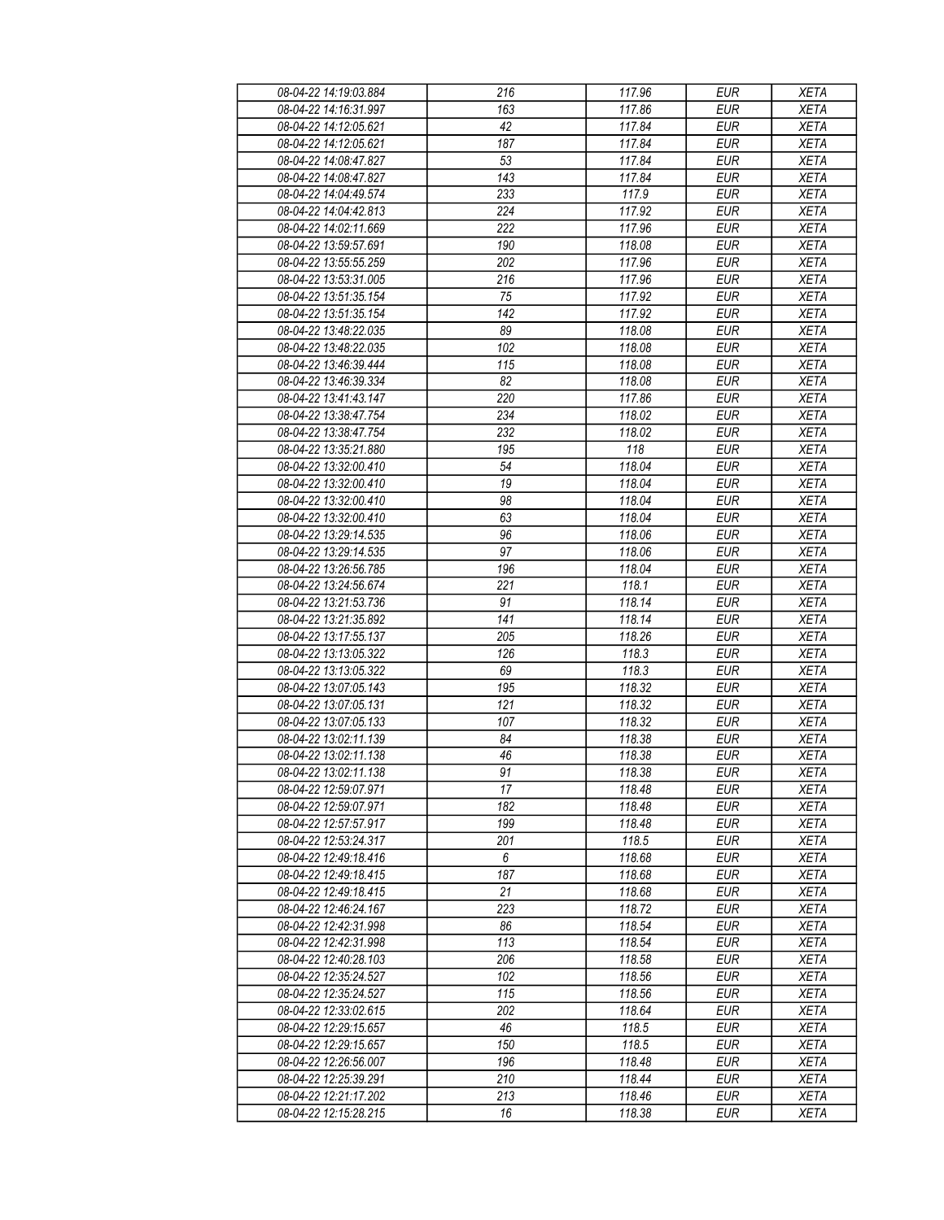| 08-04-22 14:19:03.884 | 216 | 117.96 | <b>EUR</b>               | <b>XETA</b> |
|-----------------------|-----|--------|--------------------------|-------------|
| 08-04-22 14:16:31.997 | 163 | 117.86 | <b>EUR</b>               | <b>XETA</b> |
| 08-04-22 14:12:05.621 | 42  | 117.84 | <b>EUR</b>               | <b>XETA</b> |
| 08-04-22 14:12:05.621 | 187 | 117.84 | <b>EUR</b>               | <b>XETA</b> |
| 08-04-22 14:08:47.827 | 53  | 117.84 | <b>EUR</b>               | <b>XETA</b> |
| 08-04-22 14:08:47.827 | 143 | 117.84 | <b>EUR</b>               | <b>XETA</b> |
| 08-04-22 14:04:49.574 | 233 | 117.9  | <b>EUR</b>               | <b>XETA</b> |
| 08-04-22 14:04:42.813 | 224 | 117.92 | <b>EUR</b>               | <b>XETA</b> |
| 08-04-22 14:02:11.669 | 222 | 117.96 | <b>EUR</b>               | <b>XETA</b> |
| 08-04-22 13:59:57.691 | 190 | 118.08 | <b>EUR</b>               | <b>XETA</b> |
| 08-04-22 13:55:55.259 | 202 | 117.96 | <b>EUR</b>               | <b>XETA</b> |
| 08-04-22 13:53:31.005 | 216 | 117.96 | <b>EUR</b>               | <b>XETA</b> |
| 08-04-22 13:51:35.154 | 75  | 117.92 | <b>EUR</b>               | <b>XETA</b> |
| 08-04-22 13:51:35.154 | 142 | 117.92 | <b>EUR</b>               | <b>XETA</b> |
| 08-04-22 13:48:22.035 | 89  | 118.08 | <b>EUR</b>               | <b>XETA</b> |
|                       |     |        |                          |             |
| 08-04-22 13:48:22.035 | 102 | 118.08 | <b>EUR</b><br><b>EUR</b> | <b>XETA</b> |
| 08-04-22 13:46:39.444 | 115 | 118.08 |                          | <b>XETA</b> |
| 08-04-22 13:46:39.334 | 82  | 118.08 | <b>EUR</b>               | <b>XETA</b> |
| 08-04-22 13:41:43.147 | 220 | 117.86 | <b>EUR</b>               | <b>XETA</b> |
| 08-04-22 13:38:47.754 | 234 | 118.02 | <b>EUR</b>               | <b>XETA</b> |
| 08-04-22 13:38:47.754 | 232 | 118.02 | <b>EUR</b>               | <b>XETA</b> |
| 08-04-22 13:35:21.880 | 195 | 118    | <b>EUR</b>               | <b>XETA</b> |
| 08-04-22 13:32:00.410 | 54  | 118.04 | <b>EUR</b>               | <b>XETA</b> |
| 08-04-22 13:32:00.410 | 19  | 118.04 | <b>EUR</b>               | <b>XETA</b> |
| 08-04-22 13:32:00.410 | 98  | 118.04 | <b>EUR</b>               | <b>XETA</b> |
| 08-04-22 13:32:00.410 | 63  | 118.04 | <b>EUR</b>               | <b>XETA</b> |
| 08-04-22 13:29:14.535 | 96  | 118.06 | <b>EUR</b>               | <b>XETA</b> |
| 08-04-22 13:29:14.535 | 97  | 118.06 | <b>EUR</b>               | <b>XETA</b> |
| 08-04-22 13:26:56.785 | 196 | 118.04 | <b>EUR</b>               | <b>XETA</b> |
| 08-04-22 13:24:56.674 | 221 | 118.1  | <b>EUR</b>               | <b>XETA</b> |
| 08-04-22 13:21:53.736 | 91  | 118.14 | <b>EUR</b>               | <b>XETA</b> |
| 08-04-22 13:21:35.892 | 141 | 118.14 | <b>EUR</b>               | <b>XETA</b> |
| 08-04-22 13:17:55.137 | 205 | 118.26 | <b>EUR</b>               | <b>XETA</b> |
| 08-04-22 13:13:05.322 | 126 | 118.3  | <b>EUR</b>               | <b>XETA</b> |
| 08-04-22 13:13:05.322 | 69  | 118.3  | <b>EUR</b>               | <b>XETA</b> |
| 08-04-22 13:07:05.143 | 195 | 118.32 | <b>EUR</b>               | <b>XETA</b> |
| 08-04-22 13:07:05.131 | 121 | 118.32 | <b>EUR</b>               | <b>XETA</b> |
| 08-04-22 13:07:05.133 | 107 | 118.32 | <b>EUR</b>               | <b>XETA</b> |
| 08-04-22 13:02:11.139 | 84  | 118.38 | <b>EUR</b>               | <b>XETA</b> |
| 08-04-22 13:02:11.138 | 46  | 118.38 | <b>EUR</b>               | <b>XETA</b> |
| 08-04-22 13:02:11.138 | 91  | 118.38 | EUR                      | <b>XETA</b> |
| 08-04-22 12:59:07.971 | 17  | 118.48 | <b>EUR</b>               | <b>XETA</b> |
| 08-04-22 12:59:07.971 | 182 | 118.48 | <b>EUR</b>               | <b>XETA</b> |
| 08-04-22 12:57:57.917 | 199 | 118.48 | <b>EUR</b>               | <b>XETA</b> |
| 08-04-22 12:53:24.317 | 201 | 118.5  | <b>EUR</b>               | <b>XETA</b> |
| 08-04-22 12:49:18.416 | 6   | 118.68 | <b>EUR</b>               | <b>XETA</b> |
| 08-04-22 12:49:18.415 | 187 | 118.68 | <b>EUR</b>               | <b>XETA</b> |
| 08-04-22 12:49:18.415 | 21  | 118.68 | <b>EUR</b>               | <b>XETA</b> |
| 08-04-22 12:46:24.167 | 223 | 118.72 | <b>EUR</b>               | <b>XETA</b> |
| 08-04-22 12:42:31.998 | 86  | 118.54 | <b>EUR</b>               | <b>XETA</b> |
| 08-04-22 12:42:31.998 | 113 | 118.54 | <b>EUR</b>               | <b>XETA</b> |
| 08-04-22 12:40:28.103 | 206 | 118.58 | <b>EUR</b>               | <b>XETA</b> |
| 08-04-22 12:35:24.527 | 102 | 118.56 | <b>EUR</b>               | <b>XETA</b> |
| 08-04-22 12:35:24.527 | 115 | 118.56 | <b>EUR</b>               | <b>XETA</b> |
| 08-04-22 12:33:02.615 | 202 | 118.64 | <b>EUR</b>               | <b>XETA</b> |
| 08-04-22 12:29:15.657 | 46  | 118.5  | <b>EUR</b>               | <b>XETA</b> |
| 08-04-22 12:29:15.657 | 150 | 118.5  | <b>EUR</b>               | <b>XETA</b> |
| 08-04-22 12:26:56.007 | 196 | 118.48 | <b>EUR</b>               | <b>XETA</b> |
| 08-04-22 12:25:39.291 | 210 | 118.44 | <b>EUR</b>               | <b>XETA</b> |
| 08-04-22 12:21:17.202 | 213 | 118.46 | <b>EUR</b>               | <b>XETA</b> |
| 08-04-22 12:15:28.215 | 16  | 118.38 | <b>EUR</b>               | <b>XETA</b> |
|                       |     |        |                          |             |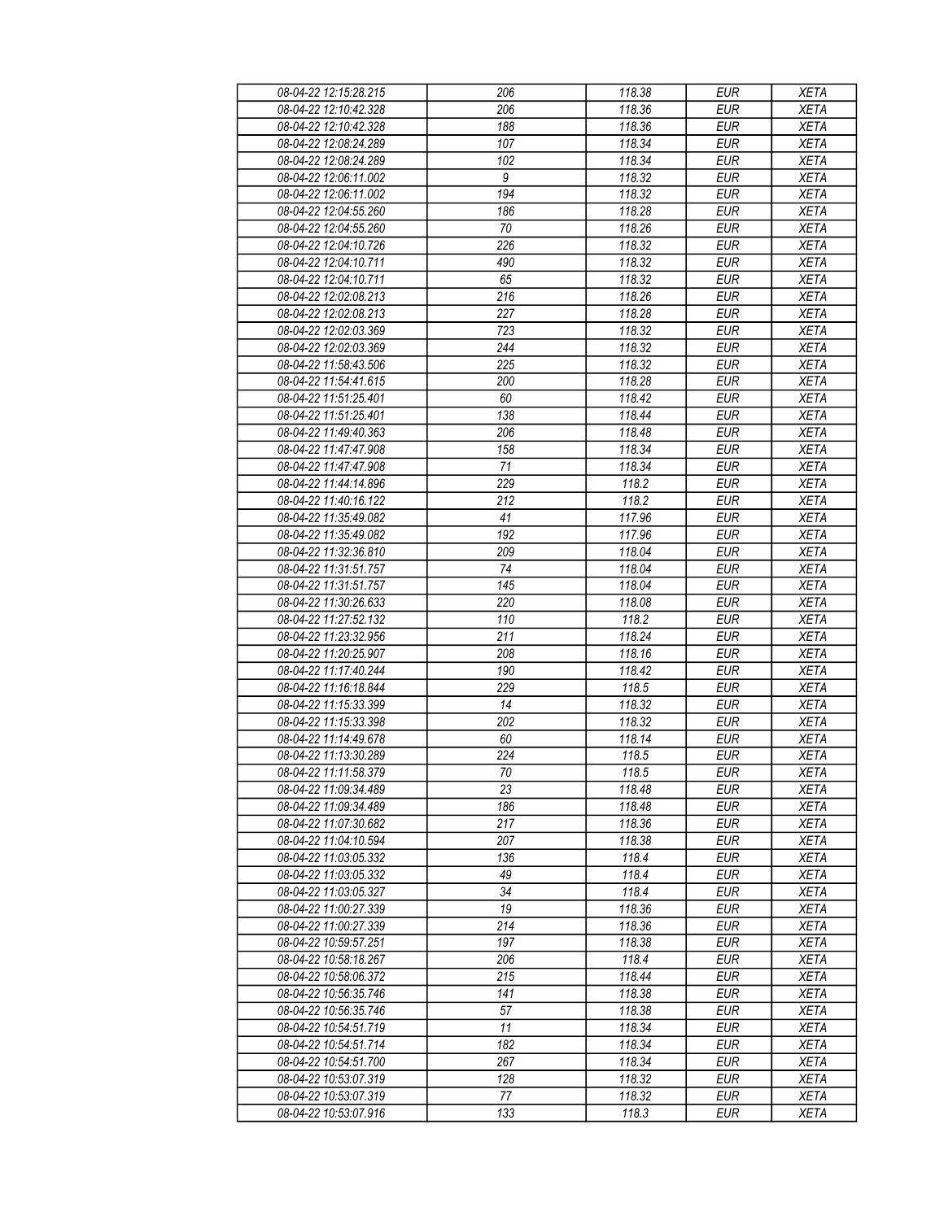| 08-04-22 12:15:28.215 | 206              | 118.38 | <b>EUR</b> | <b>XETA</b> |
|-----------------------|------------------|--------|------------|-------------|
| 08-04-22 12:10:42.328 | 206              | 118.36 | <b>EUR</b> | <b>XETA</b> |
| 08-04-22 12:10:42.328 | 188              | 118.36 | <b>EUR</b> | <b>XETA</b> |
| 08-04-22 12:08:24.289 | 107              | 118.34 | <b>EUR</b> | <b>XETA</b> |
| 08-04-22 12:08:24.289 | 102              | 118.34 | <b>EUR</b> | <b>XETA</b> |
| 08-04-22 12:06:11.002 | $\boldsymbol{9}$ | 118.32 | <b>EUR</b> | <b>XETA</b> |
| 08-04-22 12:06:11.002 | 194              | 118.32 | <b>EUR</b> | <b>XETA</b> |
| 08-04-22 12:04:55.260 | 186              | 118.28 | <b>EUR</b> | <b>XETA</b> |
| 08-04-22 12:04:55.260 | 70               | 118.26 | <b>EUR</b> | <b>XETA</b> |
| 08-04-22 12:04:10.726 | 226              | 118.32 | <b>EUR</b> | <b>XETA</b> |
| 08-04-22 12:04:10.711 | 490              | 118.32 | <b>EUR</b> | <b>XETA</b> |
| 08-04-22 12:04:10.711 | 65               | 118.32 | <b>EUR</b> | <b>XETA</b> |
|                       |                  |        |            |             |
| 08-04-22 12:02:08.213 | 216<br>227       | 118.26 | <b>EUR</b> | <b>XETA</b> |
| 08-04-22 12:02:08.213 | 723              | 118.28 | <b>EUR</b> | <b>XETA</b> |
| 08-04-22 12:02:03.369 |                  | 118.32 | <b>EUR</b> | <b>XETA</b> |
| 08-04-22 12:02:03.369 | 244              | 118.32 | <b>EUR</b> | <b>XETA</b> |
| 08-04-22 11:58:43.506 | 225              | 118.32 | <b>EUR</b> | <b>XETA</b> |
| 08-04-22 11:54:41.615 | 200              | 118.28 | <b>EUR</b> | <b>XETA</b> |
| 08-04-22 11:51:25.401 | 60               | 118.42 | <b>EUR</b> | <b>XETA</b> |
| 08-04-22 11:51:25.401 | 138              | 118.44 | <b>EUR</b> | <b>XETA</b> |
| 08-04-22 11:49:40.363 | 206              | 118.48 | <b>EUR</b> | <b>XETA</b> |
| 08-04-22 11:47:47.908 | 158              | 118.34 | <b>EUR</b> | <b>XETA</b> |
| 08-04-22 11:47:47.908 | 71               | 118.34 | <b>EUR</b> | <b>XETA</b> |
| 08-04-22 11:44:14.896 | 229              | 118.2  | <b>EUR</b> | <b>XETA</b> |
| 08-04-22 11:40:16.122 | 212              | 118.2  | <b>EUR</b> | <b>XETA</b> |
| 08-04-22 11:35:49.082 | 41               | 117.96 | EUR        | <b>XETA</b> |
| 08-04-22 11:35:49.082 | 192              | 117.96 | <b>EUR</b> | <b>XETA</b> |
| 08-04-22 11:32:36.810 | 209              | 118.04 | <b>EUR</b> | <b>XETA</b> |
| 08-04-22 11:31:51.757 | 74               | 118.04 | <b>EUR</b> | <b>XETA</b> |
| 08-04-22 11:31:51.757 | 145              | 118.04 | <b>EUR</b> | <b>XETA</b> |
| 08-04-22 11:30:26.633 | 220              | 118.08 | <b>EUR</b> | <b>XETA</b> |
| 08-04-22 11:27:52.132 | 110              | 118.2  | <b>EUR</b> | <b>XETA</b> |
| 08-04-22 11:23:32.956 | $\overline{211}$ | 118.24 | <b>EUR</b> | <b>XETA</b> |
| 08-04-22 11:20:25.907 | 208              | 118.16 | <b>EUR</b> | <b>XETA</b> |
| 08-04-22 11:17:40.244 | 190              | 118.42 | <b>EUR</b> | <b>XETA</b> |
| 08-04-22 11:16:18.844 | 229              | 118.5  | <b>EUR</b> | <b>XETA</b> |
| 08-04-22 11:15:33.399 | 14               | 118.32 | <b>EUR</b> | <b>XETA</b> |
| 08-04-22 11:15:33.398 | 202              | 118.32 | <b>EUR</b> | <b>XETA</b> |
| 08-04-22 11:14:49.678 | 60               | 118.14 | <b>EUR</b> | <b>XETA</b> |
| 08-04-22 11:13:30.289 | $\overline{224}$ | 118.5  | <b>EUR</b> | <b>XETA</b> |
| 08-04-22 11:11:58.379 | $70\,$           | 118.5  | <b>EUR</b> | <b>XETA</b> |
| 08-04-22 11:09:34.489 | 23               | 118.48 | <b>EUR</b> | <b>XETA</b> |
| 08-04-22 11:09:34.489 | 186              | 118.48 | <b>EUR</b> | <b>XETA</b> |
| 08-04-22 11:07:30.682 | 217              | 118.36 | <b>EUR</b> | <b>XETA</b> |
| 08-04-22 11:04:10.594 | 207              | 118.38 | <b>EUR</b> | <b>XETA</b> |
| 08-04-22 11:03:05.332 | 136              | 118.4  | <b>EUR</b> | <b>XETA</b> |
| 08-04-22 11:03:05.332 | 49               | 118.4  | <b>EUR</b> | <b>XETA</b> |
| 08-04-22 11:03:05.327 | 34               | 118.4  | <b>EUR</b> | <b>XETA</b> |
| 08-04-22 11:00:27.339 | 19               | 118.36 | <b>EUR</b> | <b>XETA</b> |
| 08-04-22 11:00:27.339 | 214              | 118.36 | <b>EUR</b> | <b>XETA</b> |
| 08-04-22 10:59:57.251 | 197              | 118.38 | <b>EUR</b> | <b>XETA</b> |
| 08-04-22 10:58:18.267 | 206              | 118.4  | <b>EUR</b> | <b>XETA</b> |
| 08-04-22 10:58:06.372 | 215              | 118.44 | <b>EUR</b> | <b>XETA</b> |
| 08-04-22 10:56:35.746 | 141              | 118.38 | <b>EUR</b> | <b>XETA</b> |
| 08-04-22 10:56:35.746 | 57               | 118.38 | <b>EUR</b> | <b>XETA</b> |
| 08-04-22 10:54:51.719 | 11               | 118.34 | <b>EUR</b> | <b>XETA</b> |
| 08-04-22 10:54:51.714 | 182              | 118.34 | <b>EUR</b> | <b>XETA</b> |
| 08-04-22 10:54:51.700 | 267              | 118.34 | <b>EUR</b> | <b>XETA</b> |
| 08-04-22 10:53:07.319 | 128              | 118.32 | <b>EUR</b> | <b>XETA</b> |
| 08-04-22 10:53:07.319 | 77               | 118.32 | <b>EUR</b> | <b>XETA</b> |
| 08-04-22 10:53:07.916 | 133              | 118.3  | <b>EUR</b> | <b>XETA</b> |
|                       |                  |        |            |             |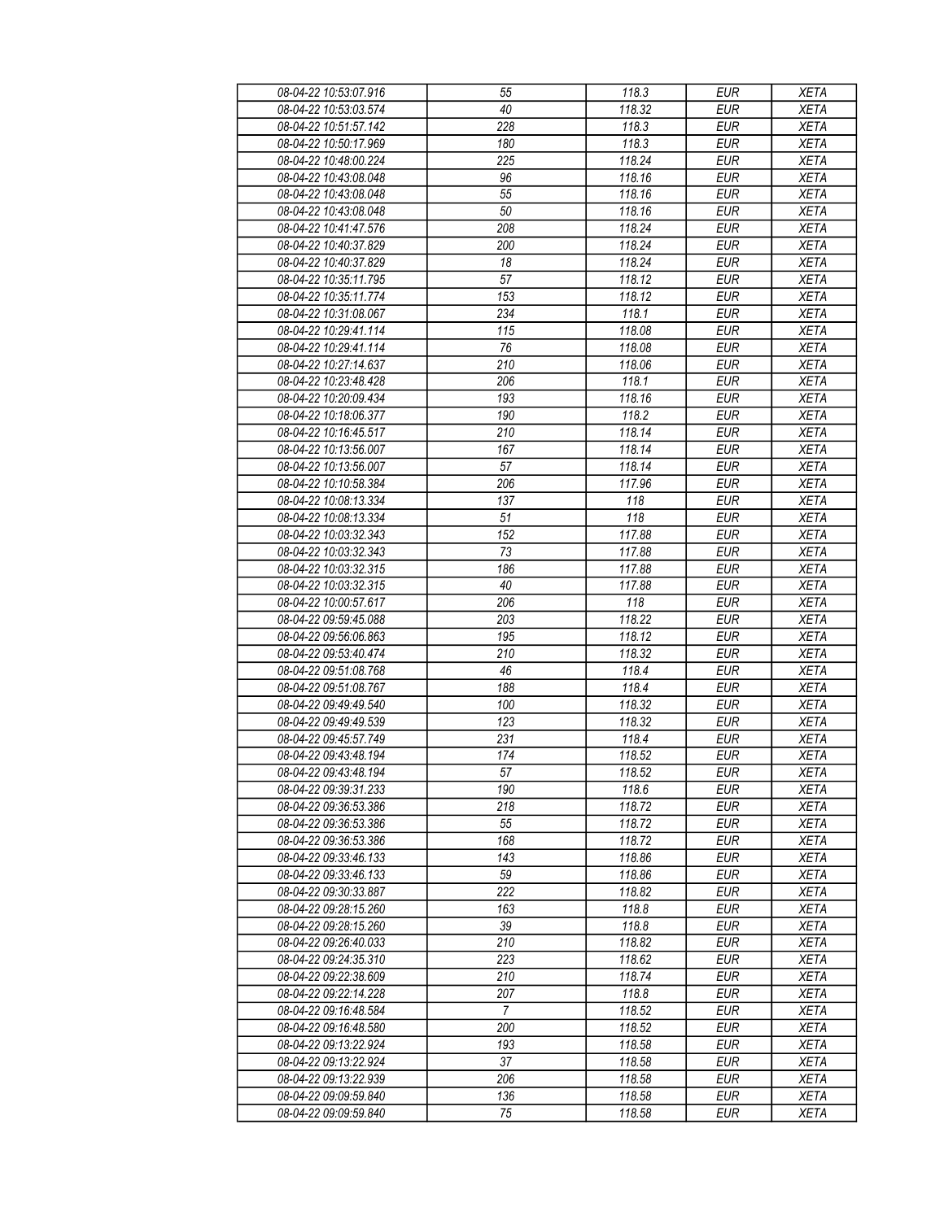| 08-04-22 10:53:07.916                          | 55               | 118.3  | <b>EUR</b> | <b>XETA</b> |
|------------------------------------------------|------------------|--------|------------|-------------|
| 08-04-22 10:53:03.574                          | 40               | 118.32 | <b>EUR</b> | <b>XETA</b> |
| 08-04-22 10:51:57.142                          | 228              | 118.3  | <b>EUR</b> | <b>XETA</b> |
| 08-04-22 10:50:17.969                          | 180              | 118.3  | <b>EUR</b> | <b>XETA</b> |
| 08-04-22 10:48:00.224                          | 225              | 118.24 | <b>EUR</b> | <b>XETA</b> |
| 08-04-22 10:43:08.048                          | 96               | 118.16 | <b>EUR</b> | <b>XETA</b> |
| 08-04-22 10:43:08.048                          | 55               | 118.16 | <b>EUR</b> | <b>XETA</b> |
| 08-04-22 10:43:08.048                          | 50               | 118.16 | <b>EUR</b> | <b>XETA</b> |
| 08-04-22 10:41:47.576                          | 208              | 118.24 | <b>EUR</b> | <b>XETA</b> |
| 08-04-22 10:40:37.829                          | 200              | 118.24 | <b>EUR</b> | <b>XETA</b> |
| 08-04-22 10:40:37.829                          | 18               | 118.24 | <b>EUR</b> | <b>XETA</b> |
| 08-04-22 10:35:11.795                          | 57               | 118.12 | <b>EUR</b> | <b>XETA</b> |
| 08-04-22 10:35:11.774                          | 153              | 118.12 | <b>EUR</b> | <b>XETA</b> |
| 08-04-22 10:31:08.067                          | 234              | 118.1  | <b>EUR</b> | <b>XETA</b> |
| 08-04-22 10:29:41.114                          | $\overline{115}$ | 118.08 | <b>EUR</b> | <b>XETA</b> |
| 08-04-22 10:29:41.114                          | 76               | 118.08 | <b>EUR</b> | <b>XETA</b> |
| 08-04-22 10:27:14.637                          | 210              | 118.06 | <b>EUR</b> | <b>XETA</b> |
| 08-04-22 10:23:48.428                          | 206              | 118.1  | <b>EUR</b> | <b>XETA</b> |
| 08-04-22 10:20:09.434                          | 193              | 118.16 | <b>EUR</b> | <b>XETA</b> |
|                                                |                  |        |            |             |
| 08-04-22 10:18:06.377                          | 190<br>210       | 118.2  | <b>EUR</b> | <b>XETA</b> |
| 08-04-22 10:16:45.517<br>08-04-22 10:13:56.007 |                  | 118.14 | <b>EUR</b> | <b>XETA</b> |
|                                                | 167              | 118.14 | <b>EUR</b> | <b>XETA</b> |
| 08-04-22 10:13:56.007                          | 57               | 118.14 | <b>EUR</b> | <b>XETA</b> |
| 08-04-22 10:10:58.384                          | 206              | 117.96 | <b>EUR</b> | <b>XETA</b> |
| 08-04-22 10:08:13.334                          | 137              | 118    | <b>EUR</b> | <b>XETA</b> |
| 08-04-22 10:08:13.334                          | 51               | 118    | <b>EUR</b> | <b>XETA</b> |
| 08-04-22 10:03:32.343                          | 152              | 117.88 | <b>EUR</b> | <b>XETA</b> |
| 08-04-22 10:03:32.343                          | 73               | 117.88 | <b>EUR</b> | <b>XETA</b> |
| 08-04-22 10:03:32.315                          | 186              | 117.88 | <b>EUR</b> | <b>XETA</b> |
| 08-04-22 10:03:32.315                          | 40               | 117.88 | <b>EUR</b> | <b>XETA</b> |
| 08-04-22 10:00:57.617                          | 206              | 118    | <b>EUR</b> | <b>XETA</b> |
| 08-04-22 09:59:45.088                          | 203              | 118.22 | <b>EUR</b> | <b>XETA</b> |
| 08-04-22 09:56:06.863                          | 195              | 118.12 | <b>EUR</b> | <b>XETA</b> |
| 08-04-22 09:53:40.474                          | 210              | 118.32 | <b>EUR</b> | <b>XETA</b> |
| 08-04-22 09:51:08.768                          | 46               | 118.4  | <b>EUR</b> | <b>XETA</b> |
| 08-04-22 09:51:08.767                          | 188              | 118.4  | <b>EUR</b> | <b>XETA</b> |
| 08-04-22 09:49:49.540                          | 100              | 118.32 | <b>EUR</b> | <b>XETA</b> |
| 08-04-22 09:49:49.539                          | 123              | 118.32 | <b>EUR</b> | <b>XETA</b> |
| 08-04-22 09:45:57.749                          | 231              | 118.4  | <b>EUR</b> | <b>XETA</b> |
| 08-04-22 09:43:48.194                          | 174              | 118.52 | <b>EUR</b> | <b>XETA</b> |
| 08-04-22 09:43:48.194                          | $\overline{57}$  | 118.52 | <b>EUR</b> | <b>XETA</b> |
| 08-04-22 09:39:31.233                          | 190              | 118.6  | <b>EUR</b> | <b>XETA</b> |
| 08-04-22 09:36:53.386                          | 218              | 118.72 | <b>EUR</b> | <b>XETA</b> |
| 08-04-22 09:36:53.386                          | 55               | 118.72 | <b>EUR</b> | <b>XETA</b> |
| 08-04-22 09:36:53.386                          | 168              | 118.72 | <b>EUR</b> | <b>XETA</b> |
| 08-04-22 09:33:46.133                          | 143              | 118.86 | <b>EUR</b> | <b>XETA</b> |
| 08-04-22 09:33:46.133                          | 59               | 118.86 | <b>EUR</b> | <b>XETA</b> |
| 08-04-22 09:30:33.887                          | 222              | 118.82 | <b>EUR</b> | <b>XETA</b> |
| 08-04-22 09:28:15.260                          | 163              | 118.8  | <b>EUR</b> | <b>XETA</b> |
| 08-04-22 09:28:15.260                          | 39               | 118.8  | <b>EUR</b> | <b>XETA</b> |
| 08-04-22 09:26:40.033                          | 210              | 118.82 | <b>EUR</b> | <b>XETA</b> |
| 08-04-22 09:24:35.310                          | 223              | 118.62 | <b>EUR</b> | <b>XETA</b> |
| 08-04-22 09:22:38.609                          | 210              | 118.74 | <b>EUR</b> | <b>XETA</b> |
| 08-04-22 09:22:14.228                          | 207              | 118.8  | <b>EUR</b> | <b>XETA</b> |
| 08-04-22 09:16:48.584                          | $\overline{7}$   | 118.52 | <b>EUR</b> | <b>XETA</b> |
| 08-04-22 09:16:48.580                          | 200              | 118.52 | <b>EUR</b> | <b>XETA</b> |
| 08-04-22 09:13:22.924                          | 193              | 118.58 | <b>EUR</b> | <b>XETA</b> |
| 08-04-22 09:13:22.924                          | 37               | 118.58 | <b>EUR</b> | <b>XETA</b> |
| 08-04-22 09:13:22.939                          | 206              | 118.58 | <b>EUR</b> | <b>XETA</b> |
| 08-04-22 09:09:59.840                          | 136              | 118.58 | <b>EUR</b> | <b>XETA</b> |
| 08-04-22 09:09:59.840                          | 75               | 118.58 | <b>EUR</b> | <b>XETA</b> |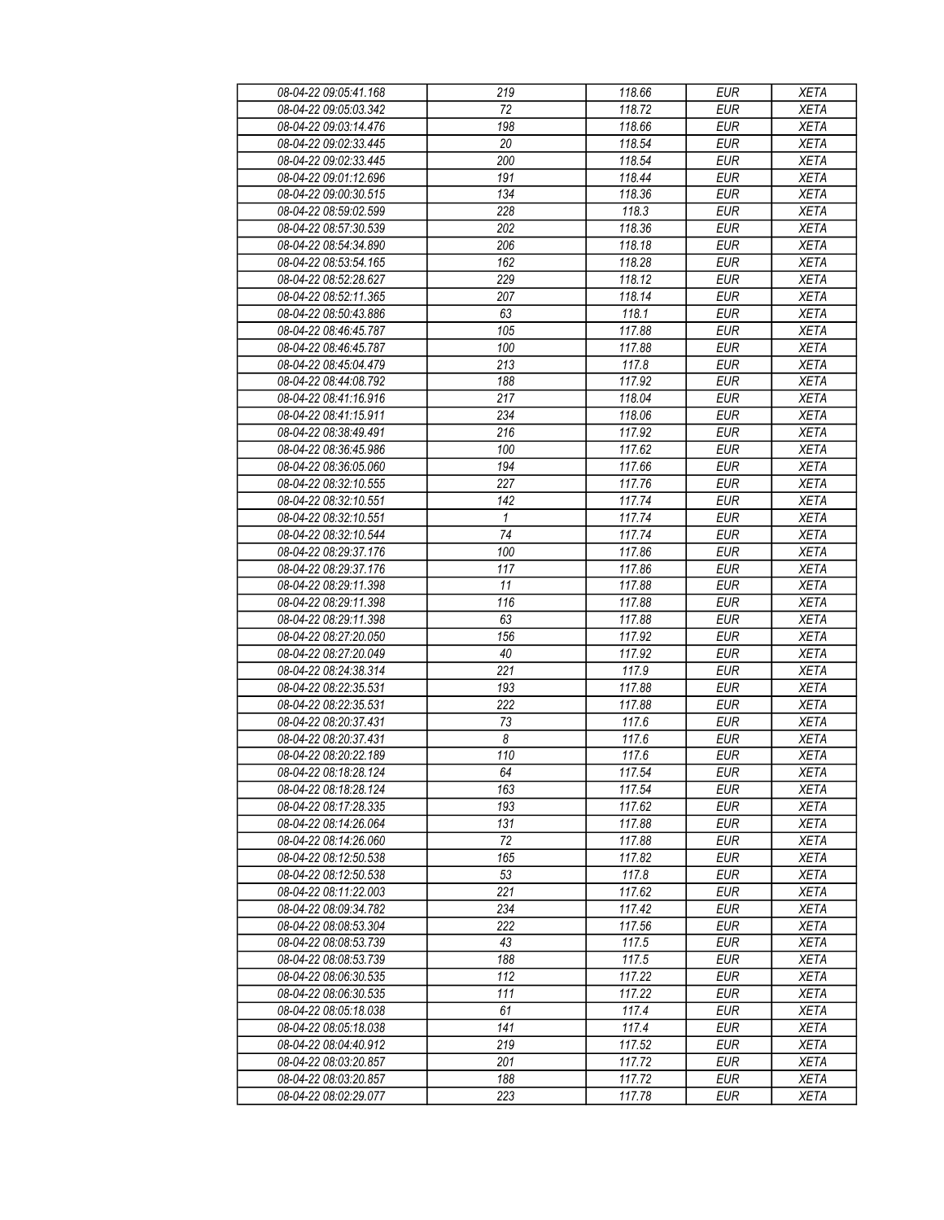| 08-04-22 09:05:41.168 | 219                   | 118.66 | <b>EUR</b> | <b>XETA</b> |
|-----------------------|-----------------------|--------|------------|-------------|
| 08-04-22 09:05:03.342 | 72                    | 118.72 | <b>EUR</b> | <b>XETA</b> |
| 08-04-22 09:03:14.476 | 198                   | 118.66 | <b>EUR</b> | <b>XETA</b> |
| 08-04-22 09:02:33.445 | 20                    | 118.54 | <b>EUR</b> | <b>XETA</b> |
| 08-04-22 09:02:33.445 | 200                   | 118.54 | <b>EUR</b> | <b>XETA</b> |
| 08-04-22 09:01:12.696 | 191                   | 118.44 | <b>EUR</b> | <b>XETA</b> |
| 08-04-22 09:00:30.515 | 134                   | 118.36 | <b>EUR</b> | <b>XETA</b> |
|                       | 228                   | 118.3  | <b>EUR</b> |             |
| 08-04-22 08:59:02.599 |                       |        |            | <b>XETA</b> |
| 08-04-22 08:57:30.539 | 202                   | 118.36 | <b>EUR</b> | <b>XETA</b> |
| 08-04-22 08:54:34.890 | 206                   | 118.18 | <b>EUR</b> | <b>XETA</b> |
| 08-04-22 08:53:54.165 | 162                   | 118.28 | <b>EUR</b> | <b>XETA</b> |
| 08-04-22 08:52:28.627 | 229                   | 118.12 | <b>EUR</b> | <b>XETA</b> |
| 08-04-22 08:52:11.365 | 207                   | 118.14 | <b>EUR</b> | <b>XETA</b> |
| 08-04-22 08:50:43.886 | 63                    | 118.1  | <b>EUR</b> | <b>XETA</b> |
| 08-04-22 08:46:45.787 | 105                   | 117.88 | <b>EUR</b> | <b>XETA</b> |
| 08-04-22 08:46:45.787 | 100                   | 117.88 | <b>EUR</b> | <b>XETA</b> |
| 08-04-22 08:45:04.479 | $\overline{213}$      | 117.8  | <b>EUR</b> | <b>XETA</b> |
| 08-04-22 08:44:08.792 | 188                   | 117.92 | <b>EUR</b> | <b>XETA</b> |
| 08-04-22 08:41:16.916 | 217                   | 118.04 | <b>EUR</b> | <b>XETA</b> |
| 08-04-22 08:41:15.911 | 234                   | 118.06 | <b>EUR</b> | <b>XETA</b> |
| 08-04-22 08:38:49.491 | 216                   | 117.92 | <b>EUR</b> | <b>XETA</b> |
| 08-04-22 08:36:45.986 | 100                   | 117.62 | <b>EUR</b> | <b>XETA</b> |
| 08-04-22 08:36:05.060 | 194                   | 117.66 | <b>EUR</b> | <b>XETA</b> |
| 08-04-22 08:32:10.555 | 227                   | 117.76 | <b>EUR</b> | <b>XETA</b> |
| 08-04-22 08:32:10.551 | 142                   | 117.74 | <b>EUR</b> | <b>XETA</b> |
| 08-04-22 08:32:10.551 | 1                     | 117.74 | <b>EUR</b> | <b>XETA</b> |
| 08-04-22 08:32:10.544 | 74                    | 117.74 | <b>EUR</b> | <b>XETA</b> |
| 08-04-22 08:29:37.176 | 100                   | 117.86 | <b>EUR</b> | <b>XETA</b> |
| 08-04-22 08:29:37.176 | 117                   | 117.86 | <b>EUR</b> | <b>XETA</b> |
| 08-04-22 08:29:11.398 | 11                    | 117.88 | <b>EUR</b> | <b>XETA</b> |
| 08-04-22 08:29:11.398 | 116                   | 117.88 | <b>EUR</b> | <b>XETA</b> |
| 08-04-22 08:29:11.398 | 63                    | 117.88 | <b>EUR</b> | <b>XETA</b> |
| 08-04-22 08:27:20.050 | 156                   | 117.92 | <b>EUR</b> | <b>XETA</b> |
| 08-04-22 08:27:20.049 | 40                    | 117.92 | <b>EUR</b> | <b>XETA</b> |
| 08-04-22 08:24:38.314 | 221                   | 117.9  | <b>EUR</b> | <b>XETA</b> |
| 08-04-22 08:22:35.531 | 193                   | 117.88 | <b>EUR</b> | <b>XETA</b> |
| 08-04-22 08:22:35.531 | 222                   | 117.88 | <b>EUR</b> | <b>XETA</b> |
| 08-04-22 08:20:37.431 |                       |        | <b>EUR</b> | <b>XETA</b> |
| 08-04-22 08:20:37.431 | 73                    | 117.6  | <b>EUR</b> |             |
|                       | 8<br>$\overline{110}$ | 117.6  |            | <b>XETA</b> |
| 08-04-22 08:20:22.189 |                       | 117.6  | <b>EUR</b> | <b>XETA</b> |
| 08-04-22 08:18:28.124 | 64                    | 117.54 | EUR        | <b>XETA</b> |
| 08-04-22 08:18:28.124 | 163                   | 117.54 | <b>EUR</b> | <b>XETA</b> |
| 08-04-22 08:17:28.335 | 193                   | 117.62 | <b>EUR</b> | <b>XETA</b> |
| 08-04-22 08:14:26.064 | 131                   | 117.88 | <b>EUR</b> | <b>XETA</b> |
| 08-04-22 08:14:26.060 | 72                    | 117.88 | <b>EUR</b> | <b>XETA</b> |
| 08-04-22 08:12:50.538 | 165                   | 117.82 | <b>EUR</b> | <b>XETA</b> |
| 08-04-22 08:12:50.538 | 53                    | 117.8  | <b>EUR</b> | <b>XETA</b> |
| 08-04-22 08:11:22.003 | 221                   | 117.62 | <b>EUR</b> | <b>XETA</b> |
| 08-04-22 08:09:34.782 | 234                   | 117.42 | <b>EUR</b> | <b>XETA</b> |
| 08-04-22 08:08:53.304 | 222                   | 117.56 | <b>EUR</b> | <b>XETA</b> |
| 08-04-22 08:08:53.739 | 43                    | 117.5  | <b>EUR</b> | <b>XETA</b> |
| 08-04-22 08:08:53.739 | 188                   | 117.5  | <b>EUR</b> | <b>XETA</b> |
| 08-04-22 08:06:30.535 | 112                   | 117.22 | <b>EUR</b> | <b>XETA</b> |
| 08-04-22 08:06:30.535 | 111                   | 117.22 | <b>EUR</b> | <b>XETA</b> |
| 08-04-22 08:05:18.038 | 61                    | 117.4  | <b>EUR</b> | <b>XETA</b> |
| 08-04-22 08:05:18.038 | 141                   | 117.4  | <b>EUR</b> | <b>XETA</b> |
| 08-04-22 08:04:40.912 | 219                   | 117.52 | <b>EUR</b> | <b>XETA</b> |
| 08-04-22 08:03:20.857 | 201                   | 117.72 | <b>EUR</b> | <b>XETA</b> |
| 08-04-22 08:03:20.857 | 188                   | 117.72 | <b>EUR</b> | <b>XETA</b> |
| 08-04-22 08:02:29.077 | 223                   | 117.78 | <b>EUR</b> | <b>XETA</b> |
|                       |                       |        |            |             |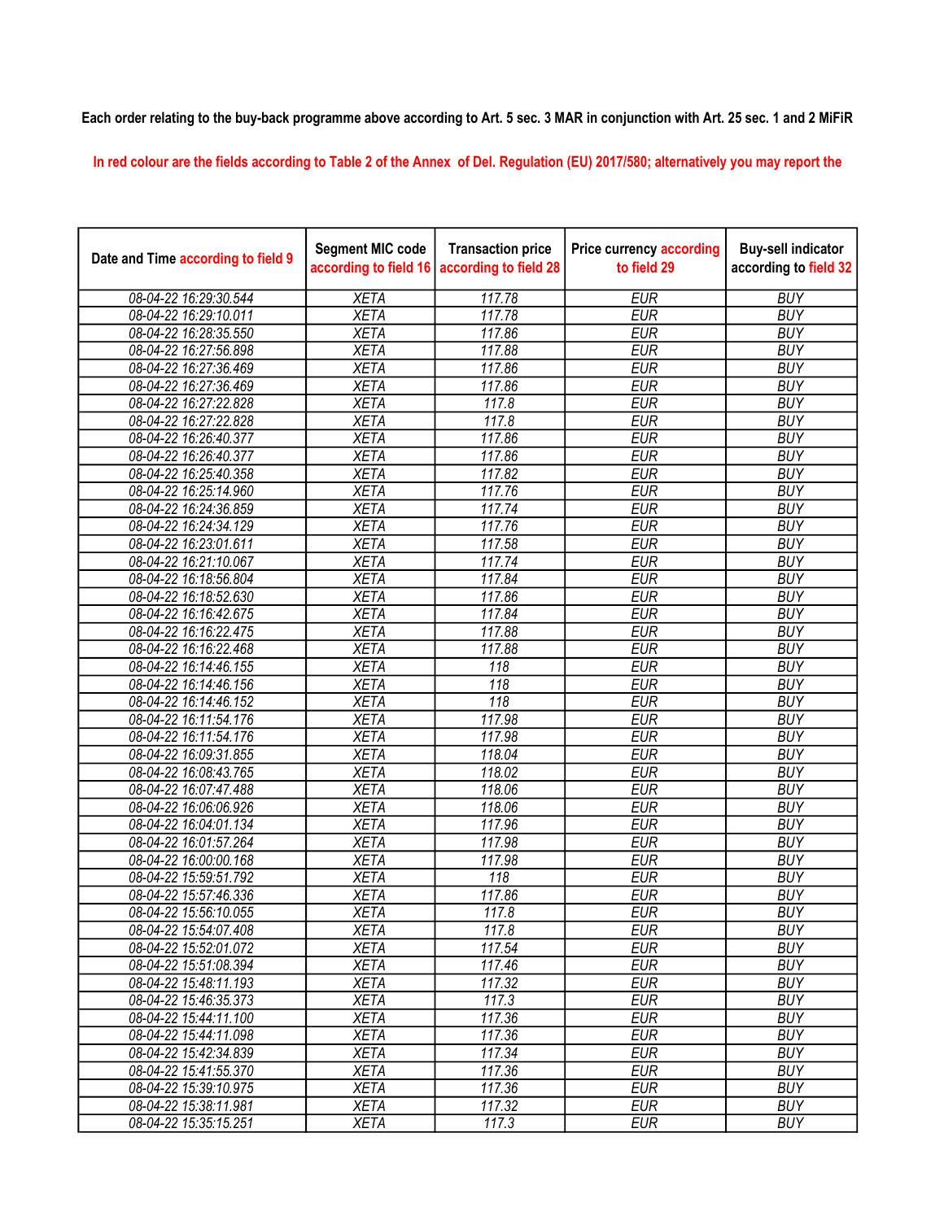## Each order relating to the buy-back programme above according to Art. 5 sec. 3 MAR in conjunction with Art. 25 sec. 1 and 2 MiFiR

In red colour are the fields according to Table 2 of the Annex of Del. Regulation (EU) 2017/580; alternatively you may report the

| Date and Time according to field 9 | <b>Segment MIC code</b><br>according to field 16 | <b>Transaction price</b><br>according to field 28 | <b>Price currency according</b><br>to field 29 | <b>Buy-sell indicator</b><br>according to field 32 |
|------------------------------------|--------------------------------------------------|---------------------------------------------------|------------------------------------------------|----------------------------------------------------|
| 08-04-22 16:29:30.544              | <b>XETA</b>                                      | 117.78                                            | <b>EUR</b>                                     | <b>BUY</b>                                         |
| 08-04-22 16:29:10.011              | <b>XETA</b>                                      | 117.78                                            | <b>EUR</b>                                     | <b>BUY</b>                                         |
| 08-04-22 16:28:35.550              | <b>XETA</b>                                      | 117.86                                            | <b>EUR</b>                                     | <b>BUY</b>                                         |
| 08-04-22 16:27:56.898              | <b>XETA</b>                                      | 117.88                                            | <b>EUR</b>                                     | <b>BUY</b>                                         |
| 08-04-22 16:27:36.469              | <b>XETA</b>                                      | 117.86                                            | <b>EUR</b>                                     | <b>BUY</b>                                         |
| 08-04-22 16:27:36.469              | <b>XETA</b>                                      | 117.86                                            | <b>EUR</b>                                     | <b>BUY</b>                                         |
| 08-04-22 16:27:22.828              | <b>XETA</b>                                      | 117.8                                             | <b>EUR</b>                                     | <b>BUY</b>                                         |
| 08-04-22 16:27:22.828              | <b>XETA</b>                                      | 117.8                                             | <b>EUR</b>                                     | <b>BUY</b>                                         |
| 08-04-22 16:26:40.377              | <b>XETA</b>                                      | 117.86                                            | <b>EUR</b>                                     | <b>BUY</b>                                         |
| 08-04-22 16:26:40.377              | <b>XETA</b>                                      | 117.86                                            | <b>EUR</b>                                     | <b>BUY</b>                                         |
| 08-04-22 16:25:40.358              | <b>XETA</b>                                      | 117.82                                            | <b>EUR</b>                                     | <b>BUY</b>                                         |
| 08-04-22 16:25:14.960              | <b>XETA</b>                                      | 117.76                                            | <b>EUR</b>                                     | <b>BUY</b>                                         |
| 08-04-22 16:24:36.859              | <b>XETA</b>                                      | 117.74                                            | <b>EUR</b>                                     | <b>BUY</b>                                         |
| 08-04-22 16:24:34.129              | <b>XETA</b>                                      | 117.76                                            | <b>EUR</b>                                     | <b>BUY</b>                                         |
| 08-04-22 16:23:01.611              | <b>XETA</b>                                      | 117.58                                            | <b>EUR</b>                                     | <b>BUY</b>                                         |
| 08-04-22 16:21:10.067              | <b>XETA</b>                                      | 117.74                                            | <b>EUR</b>                                     | <b>BUY</b>                                         |
| 08-04-22 16:18:56.804              | <b>XETA</b>                                      | 117.84                                            | <b>EUR</b>                                     | <b>BUY</b>                                         |
| 08-04-22 16:18:52.630              | <b>XETA</b>                                      | 117.86                                            | <b>EUR</b>                                     | <b>BUY</b>                                         |
| 08-04-22 16:16:42.675              | <b>XETA</b>                                      | 117.84                                            | <b>EUR</b>                                     | <b>BUY</b>                                         |
| 08-04-22 16:16:22.475              | <b>XETA</b>                                      | 117.88                                            | <b>EUR</b>                                     | <b>BUY</b>                                         |
| 08-04-22 16:16:22.468              | <b>XETA</b>                                      | 117.88                                            | <b>EUR</b>                                     | <b>BUY</b>                                         |
| 08-04-22 16:14:46.155              | <b>XETA</b>                                      | 118                                               | <b>EUR</b>                                     | <b>BUY</b>                                         |
| 08-04-22 16:14:46.156              | <b>XETA</b>                                      | 118                                               | <b>EUR</b>                                     | <b>BUY</b>                                         |
| 08-04-22 16:14:46.152              | <b>XETA</b>                                      | 118                                               | <b>EUR</b>                                     | <b>BUY</b>                                         |
| 08-04-22 16:11:54.176              | <b>XETA</b>                                      | 117.98                                            | <b>EUR</b>                                     | <b>BUY</b>                                         |
| 08-04-22 16:11:54.176              | <b>XETA</b>                                      | 117.98                                            | <b>EUR</b>                                     | <b>BUY</b>                                         |
| 08-04-22 16:09:31.855              | <b>XETA</b>                                      | 118.04                                            | <b>EUR</b>                                     | <b>BUY</b>                                         |
| 08-04-22 16:08:43.765              | <b>XETA</b>                                      | 118.02                                            | <b>EUR</b>                                     | <b>BUY</b>                                         |
| 08-04-22 16:07:47.488              | <b>XETA</b>                                      | 118.06                                            | <b>EUR</b>                                     | <b>BUY</b>                                         |
| 08-04-22 16:06:06.926              | <b>XETA</b>                                      | 118.06                                            | <b>EUR</b>                                     | <b>BUY</b>                                         |
| 08-04-22 16:04:01.134              | <b>XETA</b>                                      | 117.96                                            | <b>EUR</b>                                     | <b>BUY</b>                                         |
| 08-04-22 16:01:57.264              | <b>XETA</b>                                      | 117.98                                            | <b>EUR</b>                                     | <b>BUY</b>                                         |
| 08-04-22 16:00:00.168              | <b>XETA</b>                                      | 117.98                                            | <b>EUR</b>                                     | <b>BUY</b>                                         |
| 08-04-22 15:59:51.792              | <b>XETA</b>                                      | 118                                               | <b>EUR</b>                                     | <b>BUY</b>                                         |
| 08-04-22 15:57:46.336              | <b>XETA</b>                                      | 117.86                                            | <b>EUR</b>                                     | <b>BUY</b>                                         |
| 08-04-22 15:56:10.055              | <b>XETA</b>                                      | 117.8                                             | <b>EUR</b>                                     | <b>BUY</b>                                         |
| 08-04-22 15:54:07.408              | <b>XETA</b>                                      | 117.8                                             | <b>EUR</b>                                     | <b>BUY</b>                                         |
| 08-04-22 15:52:01.072              | <b>XETA</b>                                      | 117.54                                            | <b>EUR</b>                                     | <b>BUY</b>                                         |
| 08-04-22 15:51:08.394              | <b>XETA</b>                                      | 117.46                                            | <b>EUR</b>                                     | <b>BUY</b>                                         |
| 08-04-22 15:48:11.193              | <b>XETA</b>                                      | 117.32                                            | <b>EUR</b>                                     | <b>BUY</b>                                         |
| 08-04-22 15:46:35.373              | <b>XETA</b>                                      | 117.3                                             | <b>EUR</b>                                     | <b>BUY</b>                                         |
| 08-04-22 15:44:11.100              | <b>XETA</b>                                      | 117.36                                            | <b>EUR</b>                                     | <b>BUY</b>                                         |
| 08-04-22 15:44:11.098              | <b>XETA</b>                                      | 117.36                                            | <b>EUR</b>                                     | <b>BUY</b>                                         |
| 08-04-22 15:42:34.839              | <b>XETA</b>                                      | 117.34                                            | <b>EUR</b>                                     | <b>BUY</b>                                         |
| 08-04-22 15:41:55.370              | <b>XETA</b>                                      | 117.36                                            | <b>EUR</b>                                     | <b>BUY</b>                                         |
| 08-04-22 15:39:10.975              | <b>XETA</b>                                      | 117.36                                            | <b>EUR</b>                                     | <b>BUY</b>                                         |
| 08-04-22 15:38:11.981              | <b>XETA</b>                                      | 117.32                                            | <b>EUR</b>                                     | <b>BUY</b>                                         |
| 08-04-22 15:35:15.251              | <b>XETA</b>                                      | 117.3                                             | <b>EUR</b>                                     | <b>BUY</b>                                         |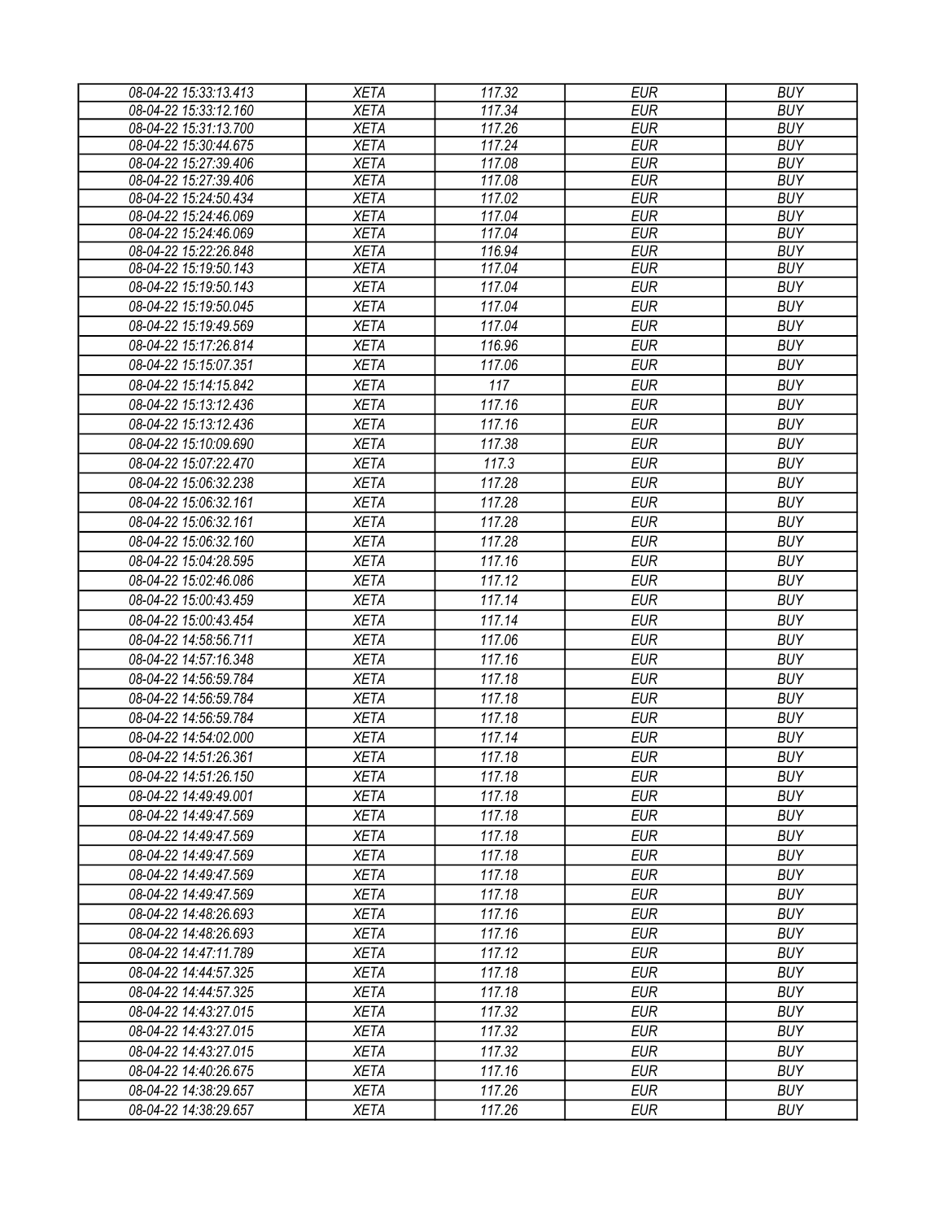| 08-04-22 15:33:13.413 | <b>XETA</b> | 117.32 | <b>EUR</b> | <b>BUY</b> |
|-----------------------|-------------|--------|------------|------------|
| 08-04-22 15:33:12.160 | <b>XETA</b> | 117.34 | <b>EUR</b> | <b>BUY</b> |
| 08-04-22 15:31:13.700 | <b>XETA</b> | 117.26 | <b>EUR</b> | <b>BUY</b> |
| 08-04-22 15:30:44.675 | <b>XETA</b> | 117.24 | <b>EUR</b> | <b>BUY</b> |
| 08-04-22 15:27:39.406 | <b>XETA</b> | 117.08 | <b>EUR</b> | <b>BUY</b> |
| 08-04-22 15:27:39.406 | <b>XETA</b> | 117.08 | <b>EUR</b> | <b>BUY</b> |
| 08-04-22 15:24:50.434 | <b>XETA</b> | 117.02 | <b>EUR</b> | <b>BUY</b> |
| 08-04-22 15:24:46.069 | <b>XETA</b> | 117.04 | <b>EUR</b> | <b>BUY</b> |
| 08-04-22 15:24:46.069 | <b>XETA</b> | 117.04 | <b>EUR</b> | <b>BUY</b> |
| 08-04-22 15:22:26.848 | <b>XETA</b> | 116.94 | <b>EUR</b> | <b>BUY</b> |
| 08-04-22 15:19:50.143 | <b>XETA</b> | 117.04 | <b>EUR</b> | <b>BUY</b> |
| 08-04-22 15:19:50.143 | <b>XETA</b> | 117.04 | <b>EUR</b> | <b>BUY</b> |
| 08-04-22 15:19:50.045 | <b>XETA</b> | 117.04 | <b>EUR</b> | <b>BUY</b> |
| 08-04-22 15:19:49.569 | <b>XETA</b> | 117.04 | <b>EUR</b> | <b>BUY</b> |
| 08-04-22 15:17:26.814 | <b>XETA</b> | 116.96 | <b>EUR</b> | <b>BUY</b> |
| 08-04-22 15:15:07.351 | <b>XETA</b> | 117.06 | <b>EUR</b> | <b>BUY</b> |
| 08-04-22 15:14:15.842 | <b>XETA</b> | 117    | <b>EUR</b> | <b>BUY</b> |
| 08-04-22 15:13:12.436 | <b>XETA</b> | 117.16 | <b>EUR</b> | <b>BUY</b> |
| 08-04-22 15:13:12.436 | <b>XETA</b> | 117.16 | <b>EUR</b> | <b>BUY</b> |
| 08-04-22 15:10:09.690 | <b>XETA</b> | 117.38 | <b>EUR</b> | <b>BUY</b> |
| 08-04-22 15:07:22.470 | <b>XETA</b> | 117.3  | <b>EUR</b> | <b>BUY</b> |
| 08-04-22 15:06:32.238 | <b>XETA</b> | 117.28 | <b>EUR</b> | <b>BUY</b> |
| 08-04-22 15:06:32.161 | <b>XETA</b> | 117.28 | <b>EUR</b> | <b>BUY</b> |
| 08-04-22 15:06:32.161 | <b>XETA</b> | 117.28 | <b>EUR</b> | <b>BUY</b> |
| 08-04-22 15:06:32.160 | <b>XETA</b> | 117.28 | <b>EUR</b> | <b>BUY</b> |
|                       |             |        |            |            |
| 08-04-22 15:04:28.595 | <b>XETA</b> | 117.16 | <b>EUR</b> | <b>BUY</b> |
| 08-04-22 15:02:46.086 | <b>XETA</b> | 117.12 | <b>EUR</b> | <b>BUY</b> |
| 08-04-22 15:00:43.459 | <b>XETA</b> | 117.14 | <b>EUR</b> | <b>BUY</b> |
| 08-04-22 15:00:43.454 | <b>XETA</b> | 117.14 | <b>EUR</b> | <b>BUY</b> |
| 08-04-22 14:58:56.711 | <b>XETA</b> | 117.06 | <b>EUR</b> | <b>BUY</b> |
| 08-04-22 14:57:16.348 | <b>XETA</b> | 117.16 | <b>EUR</b> | <b>BUY</b> |
| 08-04-22 14:56:59.784 | <b>XETA</b> | 117.18 | <b>EUR</b> | <b>BUY</b> |
| 08-04-22 14:56:59.784 | <b>XETA</b> | 117.18 | <b>EUR</b> | <b>BUY</b> |
| 08-04-22 14:56:59.784 | <b>XETA</b> | 117.18 | <b>EUR</b> | <b>BUY</b> |
| 08-04-22 14:54:02.000 | <b>XETA</b> | 117.14 | <b>EUR</b> | <b>BUY</b> |
| 08-04-22 14:51:26.361 | <b>XETA</b> | 117.18 | <b>EUR</b> | <b>BUY</b> |
| 08-04-22 14:51:26.150 | <b>XETA</b> | 117.18 | EUR        | <b>BUY</b> |
| 08-04-22 14:49:49.001 | <b>XETA</b> | 117.18 | EUR        | <b>BUY</b> |
| 08-04-22 14:49:47.569 | <b>XETA</b> | 117.18 | <b>EUR</b> | <b>BUY</b> |
| 08-04-22 14:49:47.569 | <b>XETA</b> | 117.18 | <b>EUR</b> | <b>BUY</b> |
| 08-04-22 14:49:47.569 | <b>XETA</b> | 117.18 | <b>EUR</b> | <b>BUY</b> |
| 08-04-22 14:49:47.569 | <b>XETA</b> | 117.18 | <b>EUR</b> | <b>BUY</b> |
|                       |             |        |            |            |
| 08-04-22 14:49:47.569 | <b>XETA</b> | 117.18 | <b>EUR</b> | <b>BUY</b> |
| 08-04-22 14:48:26.693 | <b>XETA</b> | 117.16 | <b>EUR</b> | <b>BUY</b> |
| 08-04-22 14:48:26.693 | <b>XETA</b> | 117.16 | <b>EUR</b> | <b>BUY</b> |
| 08-04-22 14:47:11.789 | <b>XETA</b> | 117.12 | <b>EUR</b> | <b>BUY</b> |
| 08-04-22 14:44:57.325 | <b>XETA</b> | 117.18 | EUR        | <b>BUY</b> |
| 08-04-22 14:44:57.325 | <b>XETA</b> | 117.18 | <b>EUR</b> | <b>BUY</b> |
| 08-04-22 14:43:27.015 | <b>XETA</b> | 117.32 | <b>EUR</b> | <b>BUY</b> |
| 08-04-22 14:43:27.015 | <b>XETA</b> | 117.32 | <b>EUR</b> | <b>BUY</b> |
| 08-04-22 14:43:27.015 | <b>XETA</b> | 117.32 | <b>EUR</b> | <b>BUY</b> |
| 08-04-22 14:40:26.675 | <b>XETA</b> | 117.16 | <b>EUR</b> | <b>BUY</b> |
| 08-04-22 14:38:29.657 | <b>XETA</b> | 117.26 | <b>EUR</b> | <b>BUY</b> |
| 08-04-22 14:38:29.657 | <b>XETA</b> | 117.26 | <b>EUR</b> | <b>BUY</b> |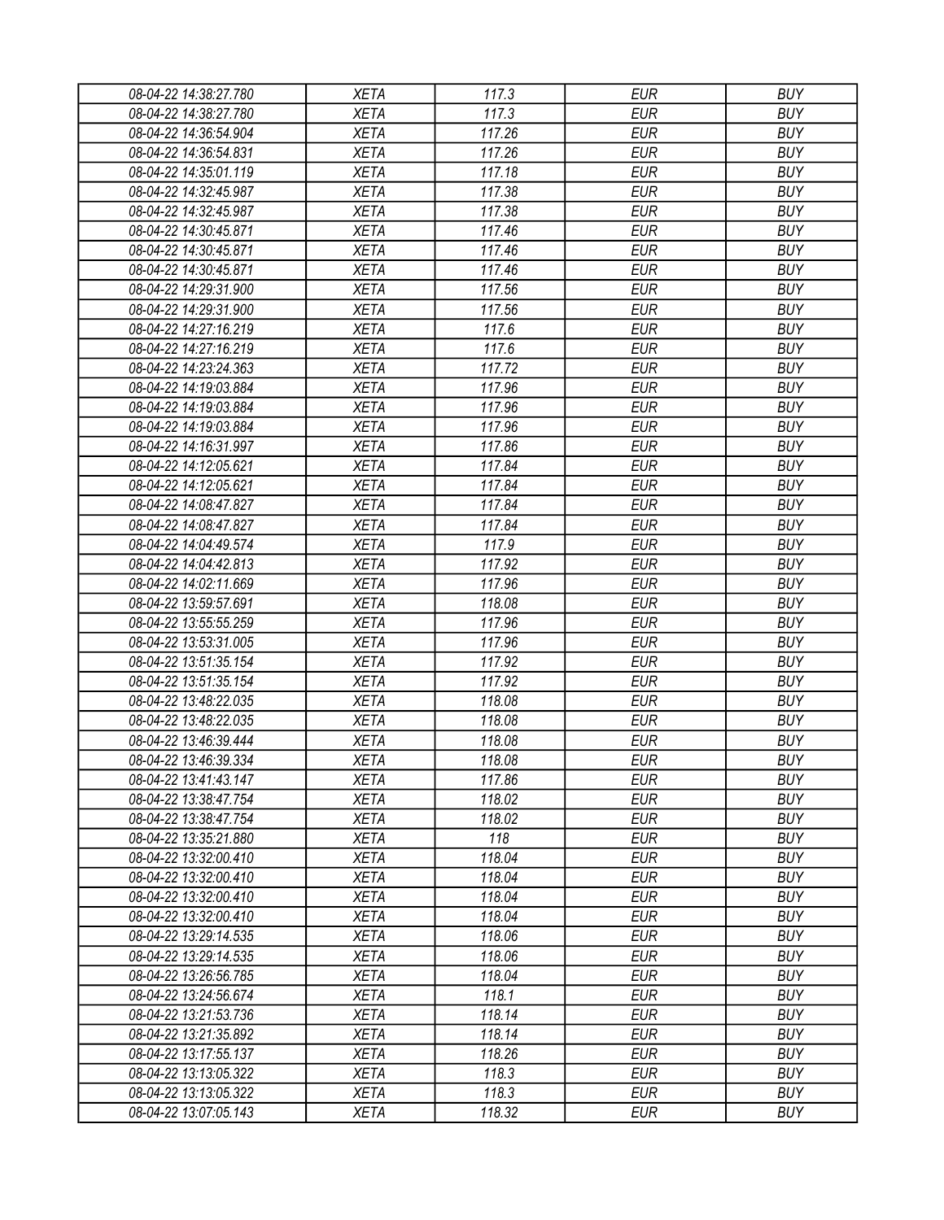| 08-04-22 14:38:27.780 | <b>XETA</b> | 117.3            | <b>EUR</b>               | <b>BUY</b>               |
|-----------------------|-------------|------------------|--------------------------|--------------------------|
| 08-04-22 14:38:27.780 | <b>XETA</b> | 117.3            | <b>EUR</b>               | <b>BUY</b>               |
| 08-04-22 14:36:54.904 | <b>XETA</b> | 117.26           | <b>EUR</b>               | <b>BUY</b>               |
| 08-04-22 14:36:54.831 | <b>XETA</b> | 117.26           | <b>EUR</b>               | <b>BUY</b>               |
| 08-04-22 14:35:01.119 | <b>XETA</b> | 117.18           | <b>EUR</b>               | <b>BUY</b>               |
| 08-04-22 14:32:45.987 | <b>XETA</b> | 117.38           | <b>EUR</b>               | <b>BUY</b>               |
| 08-04-22 14:32:45.987 | <b>XETA</b> | 117.38           | <b>EUR</b>               | <b>BUY</b>               |
| 08-04-22 14:30:45.871 | <b>XETA</b> | 117.46           | <b>EUR</b>               | <b>BUY</b>               |
| 08-04-22 14:30:45.871 | <b>XETA</b> | 117.46           | <b>EUR</b>               | <b>BUY</b>               |
| 08-04-22 14:30:45.871 | <b>XETA</b> | 117.46           | <b>EUR</b>               | <b>BUY</b>               |
| 08-04-22 14:29:31.900 | <b>XETA</b> | 117.56           | <b>EUR</b>               | <b>BUY</b>               |
| 08-04-22 14:29:31.900 | <b>XETA</b> | 117.56           | <b>EUR</b>               | <b>BUY</b>               |
| 08-04-22 14:27:16.219 | <b>XETA</b> | 117.6            | <b>EUR</b>               | <b>BUY</b>               |
| 08-04-22 14:27:16.219 | <b>XETA</b> | 117.6            | <b>EUR</b>               | <b>BUY</b>               |
| 08-04-22 14:23:24.363 | <b>XETA</b> | 117.72           | <b>EUR</b>               | <b>BUY</b>               |
| 08-04-22 14:19:03.884 | <b>XETA</b> | 117.96           | <b>EUR</b>               | <b>BUY</b>               |
| 08-04-22 14:19:03.884 | <b>XETA</b> | 117.96           | <b>EUR</b>               | <b>BUY</b>               |
| 08-04-22 14:19:03.884 | <b>XETA</b> | 117.96           | <b>EUR</b>               | <b>BUY</b>               |
| 08-04-22 14:16:31.997 | <b>XETA</b> | 117.86           | <b>EUR</b>               | <b>BUY</b>               |
| 08-04-22 14:12:05.621 | <b>XETA</b> | 117.84           | <b>EUR</b>               | <b>BUY</b>               |
| 08-04-22 14:12:05.621 | <b>XETA</b> | 117.84           | <b>EUR</b>               | <b>BUY</b>               |
| 08-04-22 14:08:47.827 | <b>XETA</b> | 117.84           | <b>EUR</b>               | <b>BUY</b>               |
| 08-04-22 14:08:47.827 | <b>XETA</b> | 117.84           | <b>EUR</b>               | <b>BUY</b>               |
| 08-04-22 14:04:49.574 | <b>XETA</b> | 117.9            | <b>EUR</b>               | <b>BUY</b>               |
| 08-04-22 14:04:42.813 | <b>XETA</b> | 117.92           | <b>EUR</b>               | <b>BUY</b>               |
| 08-04-22 14:02:11.669 | <b>XETA</b> | 117.96           | <b>EUR</b>               | <b>BUY</b>               |
| 08-04-22 13:59:57.691 | <b>XETA</b> | 118.08           | <b>EUR</b>               | <b>BUY</b>               |
| 08-04-22 13:55:55.259 | <b>XETA</b> | 117.96           | <b>EUR</b>               | <b>BUY</b>               |
| 08-04-22 13:53:31.005 | <b>XETA</b> | 117.96           | <b>EUR</b>               | <b>BUY</b>               |
| 08-04-22 13:51:35.154 | <b>XETA</b> | 117.92           | <b>EUR</b>               | <b>BUY</b>               |
| 08-04-22 13:51:35.154 | <b>XETA</b> | 117.92           | <b>EUR</b>               | <b>BUY</b>               |
| 08-04-22 13:48:22.035 | <b>XETA</b> | 118.08           | <b>EUR</b>               | <b>BUY</b>               |
| 08-04-22 13:48:22.035 | <b>XETA</b> | 118.08           | <b>EUR</b>               | <b>BUY</b>               |
| 08-04-22 13:46:39.444 | <b>XETA</b> | 118.08           | <b>EUR</b>               | <b>BUY</b>               |
|                       |             |                  | <b>EUR</b>               | <b>BUY</b>               |
| 08-04-22 13:46:39.334 | <b>XETA</b> | 118.08           |                          |                          |
| 08-04-22 13:41:43.147 | <b>XETA</b> | 117.86<br>118.02 | <b>EUR</b><br><b>EUR</b> | <b>BUY</b><br><b>BUY</b> |
| 08-04-22 13:38:47.754 | <b>XETA</b> |                  | <b>EUR</b>               | <b>BUY</b>               |
| 08-04-22 13:38:47.754 | <b>XETA</b> | 118.02           |                          |                          |
| 08-04-22 13:35:21.880 | <b>XETA</b> | 118              | <b>EUR</b>               | <b>BUY</b>               |
| 08-04-22 13:32:00.410 | <b>XETA</b> | 118.04           | <b>EUR</b>               | <b>BUY</b>               |
| 08-04-22 13:32:00.410 | <b>XETA</b> | 118.04           | <b>EUR</b>               | <b>BUY</b>               |
| 08-04-22 13:32:00.410 | <b>XETA</b> | 118.04           | <b>EUR</b>               | <b>BUY</b>               |
| 08-04-22 13:32:00.410 | <b>XETA</b> | 118.04           | <b>EUR</b>               | <b>BUY</b>               |
| 08-04-22 13:29:14.535 | <b>XETA</b> | 118.06           | <b>EUR</b>               | <b>BUY</b>               |
| 08-04-22 13:29:14.535 | <b>XETA</b> | 118.06           | <b>EUR</b>               | <b>BUY</b>               |
| 08-04-22 13:26:56.785 | <b>XETA</b> | 118.04           | <b>EUR</b>               | <b>BUY</b>               |
| 08-04-22 13:24:56.674 | <b>XETA</b> | 118.1            | <b>EUR</b>               | <b>BUY</b>               |
| 08-04-22 13:21:53.736 | <b>XETA</b> | 118.14           | <b>EUR</b>               | <b>BUY</b>               |
| 08-04-22 13:21:35.892 | <b>XETA</b> | 118.14           | <b>EUR</b>               | <b>BUY</b>               |
| 08-04-22 13:17:55.137 | <b>XETA</b> | 118.26           | <b>EUR</b>               | <b>BUY</b>               |
| 08-04-22 13:13:05.322 | <b>XETA</b> | 118.3            | <b>EUR</b>               | <b>BUY</b>               |
| 08-04-22 13:13:05.322 | <b>XETA</b> | 118.3            | <b>EUR</b>               | <b>BUY</b>               |
| 08-04-22 13:07:05.143 | <b>XETA</b> | 118.32           | <b>EUR</b>               | <b>BUY</b>               |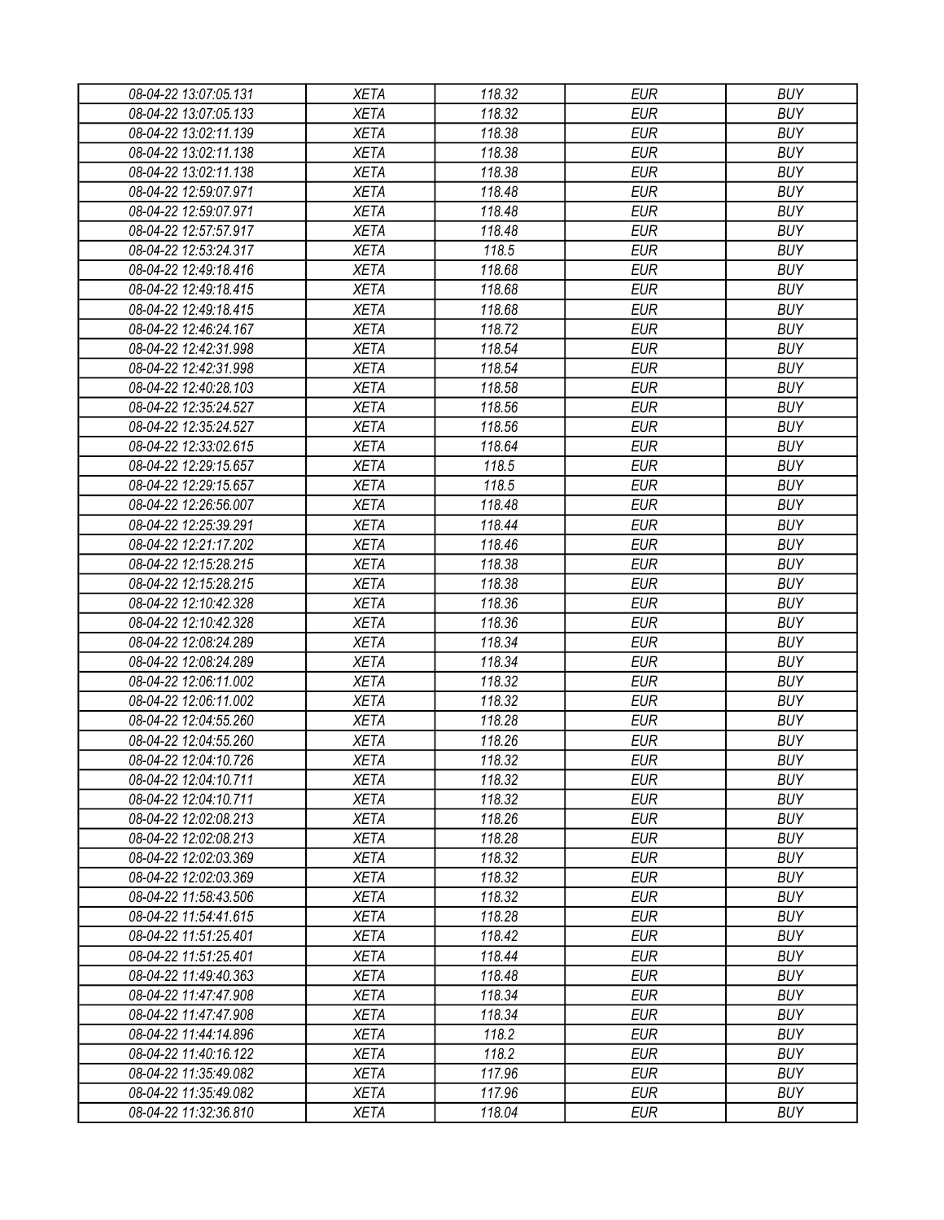| 08-04-22 13:07:05.131 | <b>XETA</b> | 118.32 | EUR        | <b>BUY</b> |
|-----------------------|-------------|--------|------------|------------|
| 08-04-22 13:07:05.133 | <b>XETA</b> | 118.32 | <b>EUR</b> | <b>BUY</b> |
| 08-04-22 13:02:11.139 | <b>XETA</b> | 118.38 | <b>EUR</b> | <b>BUY</b> |
| 08-04-22 13:02:11.138 | <b>XETA</b> | 118.38 | <b>EUR</b> | <b>BUY</b> |
| 08-04-22 13:02:11.138 | <b>XETA</b> | 118.38 | <b>EUR</b> | <b>BUY</b> |
| 08-04-22 12:59:07.971 | <b>XETA</b> | 118.48 | <b>EUR</b> | <b>BUY</b> |
| 08-04-22 12:59:07.971 | <b>XETA</b> | 118.48 | <b>EUR</b> | <b>BUY</b> |
| 08-04-22 12:57:57.917 | <b>XETA</b> | 118.48 | <b>EUR</b> | <b>BUY</b> |
| 08-04-22 12:53:24.317 | <b>XETA</b> | 118.5  | <b>EUR</b> | <b>BUY</b> |
| 08-04-22 12:49:18.416 | <b>XETA</b> | 118.68 | <b>EUR</b> | <b>BUY</b> |
| 08-04-22 12:49:18.415 | <b>XETA</b> | 118.68 | <b>EUR</b> | <b>BUY</b> |
| 08-04-22 12:49:18.415 | <b>XETA</b> | 118.68 | <b>EUR</b> | <b>BUY</b> |
| 08-04-22 12:46:24.167 | <b>XETA</b> | 118.72 | <b>EUR</b> | <b>BUY</b> |
| 08-04-22 12:42:31.998 | <b>XETA</b> | 118.54 | <b>EUR</b> | <b>BUY</b> |
| 08-04-22 12:42:31.998 | <b>XETA</b> | 118.54 | <b>EUR</b> | <b>BUY</b> |
| 08-04-22 12:40:28.103 | <b>XETA</b> | 118.58 | <b>EUR</b> | <b>BUY</b> |
| 08-04-22 12:35:24.527 | <b>XETA</b> | 118.56 | <b>EUR</b> | <b>BUY</b> |
| 08-04-22 12:35:24.527 | <b>XETA</b> | 118.56 | <b>EUR</b> | <b>BUY</b> |
| 08-04-22 12:33:02.615 | <b>XETA</b> | 118.64 | <b>EUR</b> | <b>BUY</b> |
| 08-04-22 12:29:15.657 | <b>XETA</b> | 118.5  | <b>EUR</b> | <b>BUY</b> |
| 08-04-22 12:29:15.657 | <b>XETA</b> | 118.5  | <b>EUR</b> | <b>BUY</b> |
| 08-04-22 12:26:56.007 | <b>XETA</b> | 118.48 | <b>EUR</b> | <b>BUY</b> |
| 08-04-22 12:25:39.291 | <b>XETA</b> | 118.44 | <b>EUR</b> | <b>BUY</b> |
|                       |             |        | <b>EUR</b> | <b>BUY</b> |
| 08-04-22 12:21:17.202 | <b>XETA</b> | 118.46 |            |            |
| 08-04-22 12:15:28.215 | <b>XETA</b> | 118.38 | <b>EUR</b> | <b>BUY</b> |
| 08-04-22 12:15:28.215 | <b>XETA</b> | 118.38 | <b>EUR</b> | <b>BUY</b> |
| 08-04-22 12:10:42.328 | <b>XETA</b> | 118.36 | <b>EUR</b> | <b>BUY</b> |
| 08-04-22 12:10:42.328 | <b>XETA</b> | 118.36 | <b>EUR</b> | <b>BUY</b> |
| 08-04-22 12:08:24.289 | <b>XETA</b> | 118.34 | <b>EUR</b> | <b>BUY</b> |
| 08-04-22 12:08:24.289 | <b>XETA</b> | 118.34 | <b>EUR</b> | <b>BUY</b> |
| 08-04-22 12:06:11.002 | <b>XETA</b> | 118.32 | <b>EUR</b> | <b>BUY</b> |
| 08-04-22 12:06:11.002 | <b>XETA</b> | 118.32 | <b>EUR</b> | <b>BUY</b> |
| 08-04-22 12:04:55.260 | <b>XETA</b> | 118.28 | <b>EUR</b> | <b>BUY</b> |
| 08-04-22 12:04:55.260 | <b>XETA</b> | 118.26 | <b>EUR</b> | <b>BUY</b> |
| 08-04-22 12:04:10.726 | <b>XETA</b> | 118.32 | <b>EUR</b> | <b>BUY</b> |
| 08-04-22 12:04:10.711 | <b>XETA</b> | 118.32 | <b>EUR</b> | <b>BUY</b> |
| 08-04-22 12:04:10.711 | <b>XETA</b> | 118.32 | <b>EUR</b> | <b>BUY</b> |
| 08-04-22 12:02:08.213 | <b>XETA</b> | 118.26 | <b>EUR</b> | <b>BUY</b> |
| 08-04-22 12:02:08.213 | <b>XETA</b> | 118.28 | <b>EUR</b> | <b>BUY</b> |
| 08-04-22 12:02:03.369 | <b>XETA</b> | 118.32 | <b>EUR</b> | <b>BUY</b> |
| 08-04-22 12:02:03.369 | <b>XETA</b> | 118.32 | <b>EUR</b> | <b>BUY</b> |
| 08-04-22 11:58:43.506 | <b>XETA</b> | 118.32 | <b>EUR</b> | <b>BUY</b> |
| 08-04-22 11:54:41.615 | <b>XETA</b> | 118.28 | <b>EUR</b> | <b>BUY</b> |
| 08-04-22 11:51:25.401 | <b>XETA</b> | 118.42 | <b>EUR</b> | <b>BUY</b> |
| 08-04-22 11:51:25.401 | <b>XETA</b> | 118.44 | <b>EUR</b> | <b>BUY</b> |
| 08-04-22 11:49:40.363 | <b>XETA</b> | 118.48 | <b>EUR</b> | <b>BUY</b> |
| 08-04-22 11:47:47.908 | <b>XETA</b> | 118.34 | <b>EUR</b> | <b>BUY</b> |
| 08-04-22 11:47:47.908 | <b>XETA</b> | 118.34 | <b>EUR</b> | <b>BUY</b> |
| 08-04-22 11:44:14.896 | <b>XETA</b> | 118.2  | <b>EUR</b> | <b>BUY</b> |
| 08-04-22 11:40:16.122 | <b>XETA</b> | 118.2  | <b>EUR</b> | <b>BUY</b> |
| 08-04-22 11:35:49.082 | <b>XETA</b> | 117.96 | EUR        | <b>BUY</b> |
| 08-04-22 11:35:49.082 | <b>XETA</b> | 117.96 | <b>EUR</b> | <b>BUY</b> |
| 08-04-22 11:32:36.810 | <b>XETA</b> | 118.04 | <b>EUR</b> | <b>BUY</b> |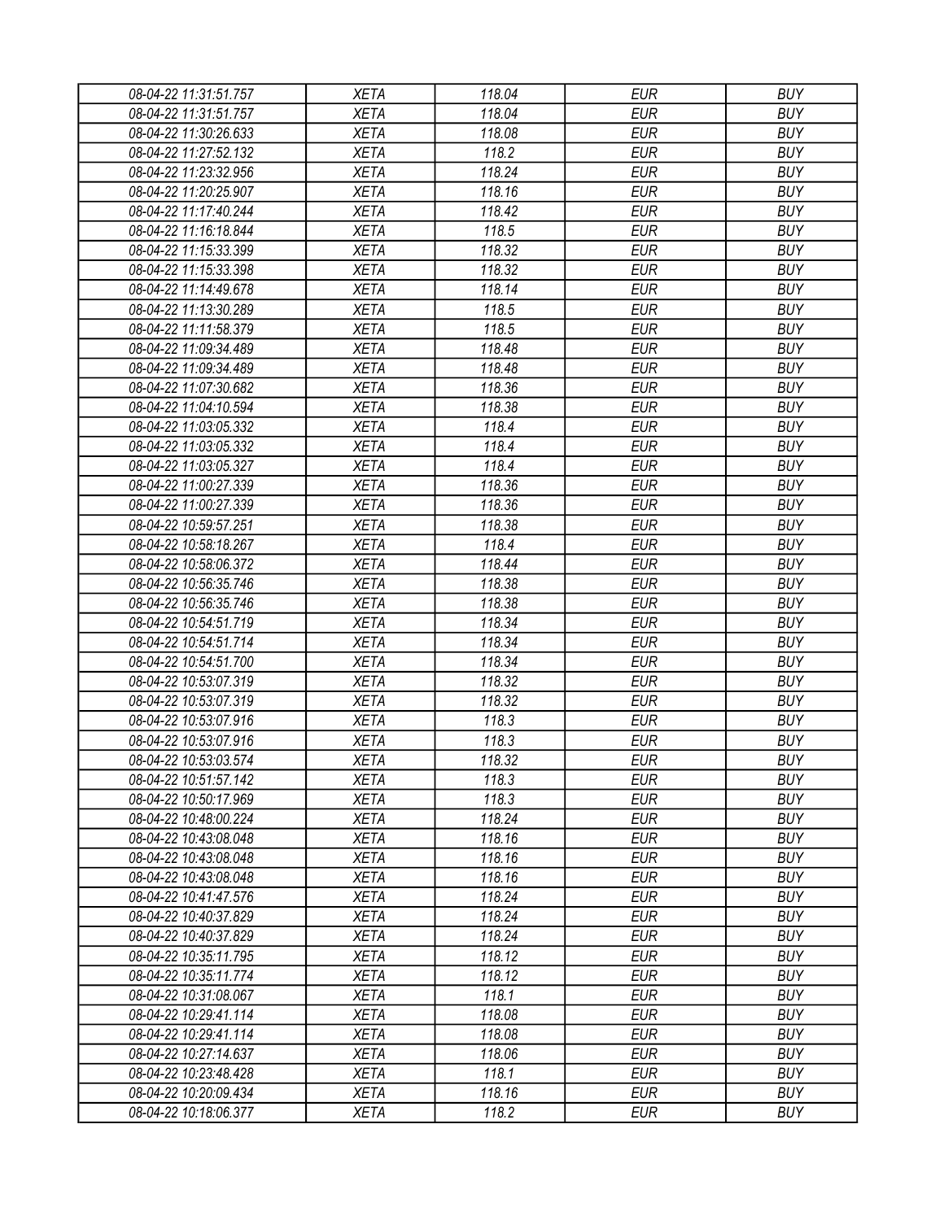| 08-04-22 11:31:51.757 | <b>XETA</b> | 118.04 | <b>EUR</b> | <b>BUY</b> |
|-----------------------|-------------|--------|------------|------------|
| 08-04-22 11:31:51.757 | <b>XETA</b> | 118.04 | <b>EUR</b> | <b>BUY</b> |
| 08-04-22 11:30:26.633 | <b>XETA</b> | 118.08 | <b>EUR</b> | <b>BUY</b> |
| 08-04-22 11:27:52.132 | <b>XETA</b> | 118.2  | <b>EUR</b> | <b>BUY</b> |
| 08-04-22 11:23:32.956 | <b>XETA</b> | 118.24 | <b>EUR</b> | <b>BUY</b> |
| 08-04-22 11:20:25.907 | <b>XETA</b> | 118.16 | <b>EUR</b> | <b>BUY</b> |
| 08-04-22 11:17:40.244 | <b>XETA</b> | 118.42 | <b>EUR</b> | <b>BUY</b> |
| 08-04-22 11:16:18.844 | <b>XETA</b> | 118.5  | <b>EUR</b> | <b>BUY</b> |
| 08-04-22 11:15:33.399 | <b>XETA</b> | 118.32 | <b>EUR</b> | <b>BUY</b> |
| 08-04-22 11:15:33.398 | <b>XETA</b> | 118.32 | <b>EUR</b> | <b>BUY</b> |
| 08-04-22 11:14:49.678 | <b>XETA</b> | 118.14 | <b>EUR</b> | <b>BUY</b> |
| 08-04-22 11:13:30.289 | <b>XETA</b> | 118.5  | <b>EUR</b> | <b>BUY</b> |
| 08-04-22 11:11:58.379 | <b>XETA</b> | 118.5  | <b>EUR</b> | <b>BUY</b> |
| 08-04-22 11:09:34.489 | <b>XETA</b> | 118.48 | <b>EUR</b> | <b>BUY</b> |
| 08-04-22 11:09:34.489 | <b>XETA</b> | 118.48 | <b>EUR</b> | <b>BUY</b> |
| 08-04-22 11:07:30.682 | <b>XETA</b> | 118.36 | <b>EUR</b> | <b>BUY</b> |
| 08-04-22 11:04:10.594 | <b>XETA</b> | 118.38 | <b>EUR</b> | <b>BUY</b> |
| 08-04-22 11:03:05.332 | <b>XETA</b> | 118.4  | <b>EUR</b> | <b>BUY</b> |
| 08-04-22 11:03:05.332 | <b>XETA</b> | 118.4  | <b>EUR</b> | <b>BUY</b> |
| 08-04-22 11:03:05.327 | <b>XETA</b> | 118.4  | <b>EUR</b> | <b>BUY</b> |
| 08-04-22 11:00:27.339 | <b>XETA</b> | 118.36 | <b>EUR</b> | <b>BUY</b> |
| 08-04-22 11:00:27.339 | <b>XETA</b> | 118.36 | <b>EUR</b> | <b>BUY</b> |
| 08-04-22 10:59:57.251 | <b>XETA</b> | 118.38 | <b>EUR</b> | <b>BUY</b> |
| 08-04-22 10:58:18.267 | <b>XETA</b> | 118.4  | <b>EUR</b> | <b>BUY</b> |
| 08-04-22 10:58:06.372 | <b>XETA</b> | 118.44 | <b>EUR</b> | <b>BUY</b> |
| 08-04-22 10:56:35.746 | <b>XETA</b> | 118.38 | <b>EUR</b> | <b>BUY</b> |
| 08-04-22 10:56:35.746 | <b>XETA</b> | 118.38 | <b>EUR</b> | <b>BUY</b> |
| 08-04-22 10:54:51.719 | <b>XETA</b> | 118.34 | <b>EUR</b> | <b>BUY</b> |
| 08-04-22 10:54:51.714 | <b>XETA</b> | 118.34 | <b>EUR</b> | <b>BUY</b> |
| 08-04-22 10:54:51.700 | <b>XETA</b> | 118.34 | <b>EUR</b> | <b>BUY</b> |
| 08-04-22 10:53:07.319 | <b>XETA</b> | 118.32 | <b>EUR</b> | <b>BUY</b> |
| 08-04-22 10:53:07.319 | <b>XETA</b> | 118.32 | <b>EUR</b> | <b>BUY</b> |
| 08-04-22 10:53:07.916 | <b>XETA</b> | 118.3  | <b>EUR</b> | <b>BUY</b> |
| 08-04-22 10:53:07.916 | <b>XETA</b> | 118.3  | <b>EUR</b> | <b>BUY</b> |
| 08-04-22 10:53:03.574 | <b>XETA</b> | 118.32 | <b>EUR</b> | <b>BUY</b> |
| 08-04-22 10:51:57.142 | <b>XETA</b> | 118.3  | <b>EUR</b> | <b>BUY</b> |
| 08-04-22 10:50:17.969 | <b>XETA</b> | 118.3  | <b>EUR</b> | <b>BUY</b> |
| 08-04-22 10:48:00.224 | <b>XETA</b> | 118.24 | <b>EUR</b> | <b>BUY</b> |
| 08-04-22 10:43:08.048 | <b>XETA</b> | 118.16 | <b>EUR</b> | <b>BUY</b> |
| 08-04-22 10:43:08.048 | <b>XETA</b> | 118.16 | <b>EUR</b> | <b>BUY</b> |
| 08-04-22 10:43:08.048 | <b>XETA</b> | 118.16 | <b>EUR</b> | <b>BUY</b> |
| 08-04-22 10:41:47.576 | <b>XETA</b> | 118.24 | <b>EUR</b> | <b>BUY</b> |
| 08-04-22 10:40:37.829 | <b>XETA</b> | 118.24 | <b>EUR</b> | <b>BUY</b> |
| 08-04-22 10:40:37.829 | <b>XETA</b> | 118.24 | <b>EUR</b> | <b>BUY</b> |
| 08-04-22 10:35:11.795 | <b>XETA</b> | 118.12 | <b>EUR</b> | <b>BUY</b> |
| 08-04-22 10:35:11.774 | <b>XETA</b> | 118.12 | <b>EUR</b> | <b>BUY</b> |
| 08-04-22 10:31:08.067 | <b>XETA</b> | 118.1  | <b>EUR</b> | <b>BUY</b> |
| 08-04-22 10:29:41.114 | <b>XETA</b> | 118.08 | <b>EUR</b> | <b>BUY</b> |
| 08-04-22 10:29:41.114 | <b>XETA</b> | 118.08 | <b>EUR</b> | <b>BUY</b> |
| 08-04-22 10:27:14.637 | <b>XETA</b> | 118.06 | <b>EUR</b> | <b>BUY</b> |
| 08-04-22 10:23:48.428 | <b>XETA</b> | 118.1  | <b>EUR</b> | <b>BUY</b> |
| 08-04-22 10:20:09.434 | <b>XETA</b> | 118.16 | <b>EUR</b> | <b>BUY</b> |
| 08-04-22 10:18:06.377 | <b>XETA</b> | 118.2  | <b>EUR</b> | <b>BUY</b> |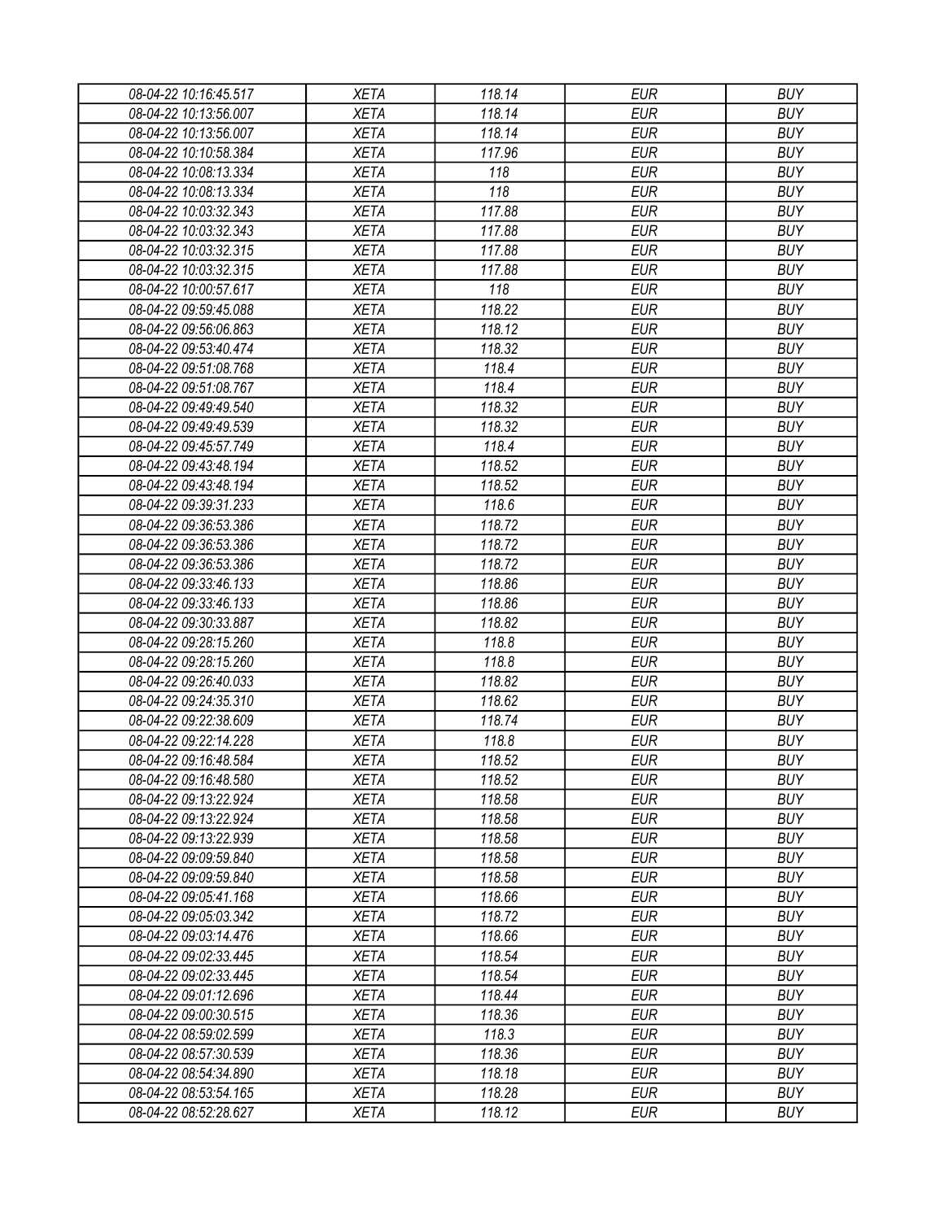| 08-04-22 10:16:45.517 | XETA                       | 118.14 | EUR        | <b>BUY</b>               |
|-----------------------|----------------------------|--------|------------|--------------------------|
| 08-04-22 10:13:56.007 | <b>XETA</b>                | 118.14 | <b>EUR</b> | <b>BUY</b>               |
| 08-04-22 10:13:56.007 | <b>XETA</b>                | 118.14 | <b>EUR</b> | <b>BUY</b>               |
| 08-04-22 10:10:58.384 | <b>XETA</b>                | 117.96 | <b>EUR</b> | <b>BUY</b>               |
| 08-04-22 10:08:13.334 | <b>XETA</b>                | 118    | <b>EUR</b> | <b>BUY</b>               |
| 08-04-22 10:08:13.334 | <b>XETA</b>                | 118    | <b>EUR</b> | <b>BUY</b>               |
| 08-04-22 10:03:32.343 | <b>XETA</b>                | 117.88 | <b>EUR</b> | <b>BUY</b>               |
| 08-04-22 10:03:32.343 | <b>XETA</b>                | 117.88 | <b>EUR</b> | <b>BUY</b>               |
| 08-04-22 10:03:32.315 | <b>XETA</b>                | 117.88 | <b>EUR</b> | <b>BUY</b>               |
| 08-04-22 10:03:32.315 | <b>XETA</b>                | 117.88 | <b>EUR</b> | <b>BUY</b>               |
| 08-04-22 10:00:57.617 | <b>XETA</b>                | 118    | <b>EUR</b> | <b>BUY</b>               |
| 08-04-22 09:59:45.088 | <b>XETA</b>                | 118.22 | <b>EUR</b> | <b>BUY</b>               |
| 08-04-22 09:56:06.863 | <b>XETA</b>                | 118.12 | <b>EUR</b> | <b>BUY</b>               |
| 08-04-22 09:53:40.474 | <b>XETA</b>                | 118.32 | <b>EUR</b> | <b>BUY</b>               |
| 08-04-22 09:51:08.768 | <b>XETA</b>                | 118.4  | <b>EUR</b> | <b>BUY</b>               |
| 08-04-22 09:51:08.767 | <b>XETA</b>                | 118.4  | <b>EUR</b> | <b>BUY</b>               |
| 08-04-22 09:49:49.540 | <b>XETA</b>                | 118.32 | <b>EUR</b> | <b>BUY</b>               |
| 08-04-22 09:49:49.539 | <b>XETA</b>                | 118.32 | <b>EUR</b> | <b>BUY</b>               |
| 08-04-22 09:45:57.749 | <b>XETA</b>                | 118.4  | <b>EUR</b> | <b>BUY</b>               |
| 08-04-22 09:43:48.194 | <b>XETA</b>                | 118.52 | <b>EUR</b> | <b>BUY</b>               |
| 08-04-22 09:43:48.194 | <b>XETA</b>                | 118.52 | <b>EUR</b> | <b>BUY</b>               |
| 08-04-22 09:39:31.233 | <b>XETA</b>                | 118.6  | <b>EUR</b> | <b>BUY</b>               |
| 08-04-22 09:36:53.386 | <b>XETA</b>                | 118.72 | <b>EUR</b> | <b>BUY</b>               |
| 08-04-22 09:36:53.386 | <b>XETA</b>                | 118.72 | <b>EUR</b> | <b>BUY</b>               |
| 08-04-22 09:36:53.386 | <b>XETA</b>                | 118.72 | <b>EUR</b> | <b>BUY</b>               |
| 08-04-22 09:33:46.133 | <b>XETA</b>                | 118.86 | <b>EUR</b> | <b>BUY</b>               |
| 08-04-22 09:33:46.133 | <b>XETA</b>                | 118.86 | <b>EUR</b> | <b>BUY</b>               |
| 08-04-22 09:30:33.887 | <b>XETA</b>                | 118.82 | <b>EUR</b> | <b>BUY</b>               |
| 08-04-22 09:28:15.260 | <b>XETA</b>                | 118.8  | <b>EUR</b> | <b>BUY</b>               |
| 08-04-22 09:28:15.260 | <b>XETA</b>                | 118.8  | <b>EUR</b> | <b>BUY</b>               |
| 08-04-22 09:26:40.033 | <b>XETA</b>                | 118.82 | <b>EUR</b> | <b>BUY</b>               |
| 08-04-22 09:24:35.310 | <b>XETA</b>                | 118.62 | <b>EUR</b> | <b>BUY</b>               |
| 08-04-22 09:22:38.609 | <b>XETA</b>                | 118.74 | <b>EUR</b> | <b>BUY</b>               |
| 08-04-22 09:22:14.228 | <b>XETA</b>                | 118.8  | <b>EUR</b> | <b>BUY</b>               |
| 08-04-22 09:16:48.584 |                            | 118.52 | <b>EUR</b> |                          |
|                       | <b>XETA</b><br><b>XETA</b> | 118.52 |            | <b>BUY</b><br><b>BUY</b> |
| 08-04-22 09:16:48.580 |                            |        | <b>EUR</b> |                          |
| 08-04-22 09:13:22.924 | <b>XETA</b>                | 118.58 | <b>EUR</b> | <b>BUY</b>               |
| 08-04-22 09:13:22.924 | <b>XETA</b>                | 118.58 | <b>EUR</b> | <b>BUY</b>               |
| 08-04-22 09:13:22.939 | <b>XETA</b>                | 118.58 | <b>EUR</b> | <b>BUY</b>               |
| 08-04-22 09:09:59.840 | <b>XETA</b>                | 118.58 | <b>EUR</b> | <b>BUY</b>               |
| 08-04-22 09:09:59.840 | <b>XETA</b>                | 118.58 | <b>EUR</b> | <b>BUY</b>               |
| 08-04-22 09:05:41.168 | <b>XETA</b>                | 118.66 | <b>EUR</b> | <b>BUY</b>               |
| 08-04-22 09:05:03.342 | <b>XETA</b>                | 118.72 | <b>EUR</b> | <b>BUY</b>               |
| 08-04-22 09:03:14.476 | <b>XETA</b>                | 118.66 | <b>EUR</b> | <b>BUY</b>               |
| 08-04-22 09:02:33.445 | <b>XETA</b>                | 118.54 | <b>EUR</b> | <b>BUY</b>               |
| 08-04-22 09:02:33.445 | <b>XETA</b>                | 118.54 | <b>EUR</b> | <b>BUY</b>               |
| 08-04-22 09:01:12.696 | <b>XETA</b>                | 118.44 | <b>EUR</b> | <b>BUY</b>               |
| 08-04-22 09:00:30.515 | <b>XETA</b>                | 118.36 | <b>EUR</b> | <b>BUY</b>               |
| 08-04-22 08:59:02.599 | <b>XETA</b>                | 118.3  | <b>EUR</b> | <b>BUY</b>               |
| 08-04-22 08:57:30.539 | <b>XETA</b>                | 118.36 | <b>EUR</b> | <b>BUY</b>               |
| 08-04-22 08:54:34.890 | <b>XETA</b>                | 118.18 | EUR        | <b>BUY</b>               |
| 08-04-22 08:53:54.165 | <b>XETA</b>                | 118.28 | <b>EUR</b> | <b>BUY</b>               |
| 08-04-22 08:52:28.627 | <b>XETA</b>                | 118.12 | <b>EUR</b> | <b>BUY</b>               |